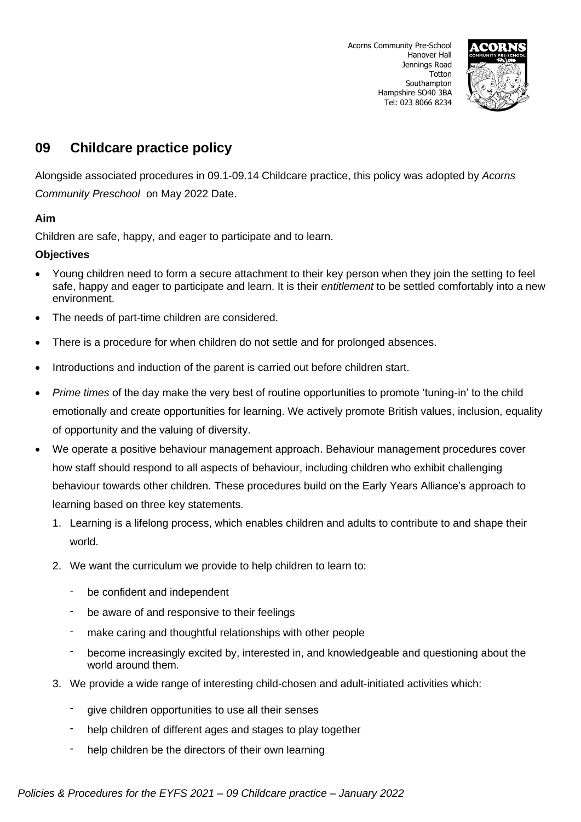

# **09 Childcare practice policy**

Alongside associated procedures in 09.1-09.14 Childcare practice, this policy was adopted by *Acorns Community Preschool* on May 2022 Date.

# **Aim**

Children are safe, happy, and eager to participate and to learn.

# **Objectives**

- Young children need to form a secure attachment to their key person when they join the setting to feel safe, happy and eager to participate and learn. It is their *entitlement* to be settled comfortably into a new environment.
- The needs of part-time children are considered.
- There is a procedure for when children do not settle and for prolonged absences.
- Introductions and induction of the parent is carried out before children start.
- *Prime times* of the day make the very best of routine opportunities to promote 'tuning-in' to the child emotionally and create opportunities for learning. We actively promote British values, inclusion, equality of opportunity and the valuing of diversity.
- We operate a positive behaviour management approach. Behaviour management procedures cover how staff should respond to all aspects of behaviour, including children who exhibit challenging behaviour towards other children. These procedures build on the Early Years Alliance's approach to learning based on three key statements.
	- 1. Learning is a lifelong process, which enables children and adults to contribute to and shape their world.
	- 2. We want the curriculum we provide to help children to learn to:
		- be confident and independent
		- be aware of and responsive to their feelings
		- make caring and thoughtful relationships with other people
		- become increasingly excited by, interested in, and knowledgeable and questioning about the world around them.
	- 3. We provide a wide range of interesting child-chosen and adult-initiated activities which:
		- give children opportunities to use all their senses
		- help children of different ages and stages to play together
		- help children be the directors of their own learning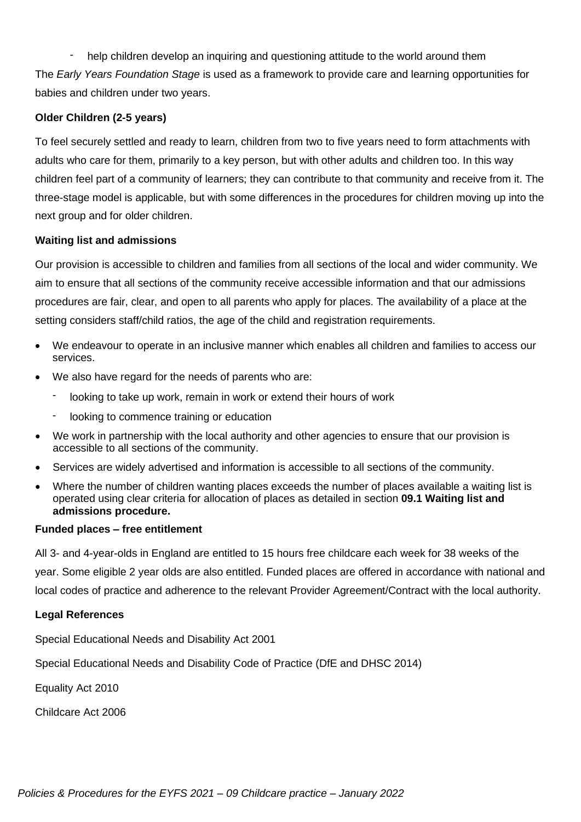help children develop an inquiring and questioning attitude to the world around them The *Early Years Foundation Stage* is used as a framework to provide care and learning opportunities for babies and children under two years.

### **Older Children (2-5 years)**

To feel securely settled and ready to learn, children from two to five years need to form attachments with adults who care for them, primarily to a key person, but with other adults and children too. In this way children feel part of a community of learners; they can contribute to that community and receive from it. The three-stage model is applicable, but with some differences in the procedures for children moving up into the next group and for older children.

### **Waiting list and admissions**

Our provision is accessible to children and families from all sections of the local and wider community. We aim to ensure that all sections of the community receive accessible information and that our admissions procedures are fair, clear, and open to all parents who apply for places. The availability of a place at the setting considers staff/child ratios, the age of the child and registration requirements.

- We endeavour to operate in an inclusive manner which enables all children and families to access our services.
- We also have regard for the needs of parents who are:
	- looking to take up work, remain in work or extend their hours of work
	- looking to commence training or education
- We work in partnership with the local authority and other agencies to ensure that our provision is accessible to all sections of the community.
- Services are widely advertised and information is accessible to all sections of the community.
- Where the number of children wanting places exceeds the number of places available a waiting list is operated using clear criteria for allocation of places as detailed in section **09.1 Waiting list and admissions procedure.**

#### **Funded places – free entitlement**

All 3- and 4-year-olds in England are entitled to 15 hours free childcare each week for 38 weeks of the year. Some eligible 2 year olds are also entitled. Funded places are offered in accordance with national and local codes of practice and adherence to the relevant Provider Agreement/Contract with the local authority.

#### **Legal References**

Special Educational Needs and Disability Act 2001

Special Educational Needs and Disability Code of Practice (DfE and DHSC 2014)

Equality Act 2010

Childcare Act 2006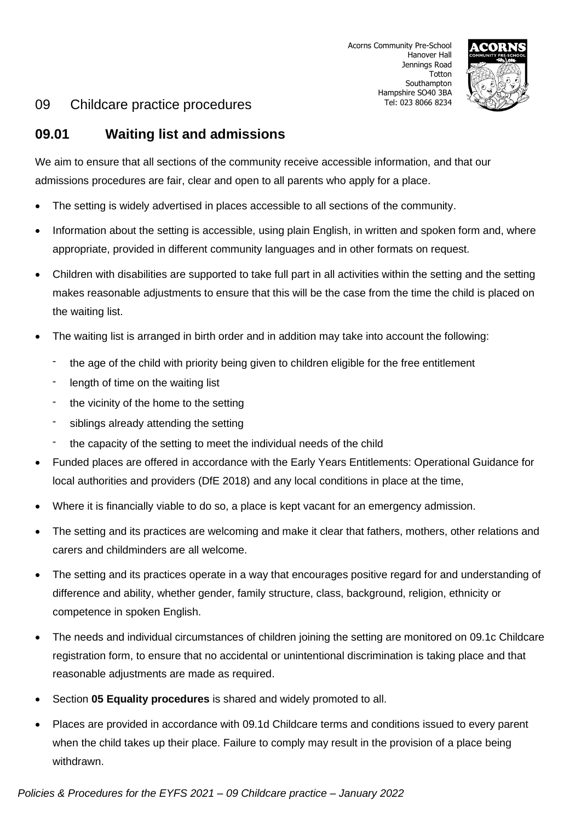

# **09.01 Waiting list and admissions**

We aim to ensure that all sections of the community receive accessible information, and that our admissions procedures are fair, clear and open to all parents who apply for a place.

- The setting is widely advertised in places accessible to all sections of the community.
- Information about the setting is accessible, using plain English, in written and spoken form and, where appropriate, provided in different community languages and in other formats on request.
- Children with disabilities are supported to take full part in all activities within the setting and the setting makes reasonable adjustments to ensure that this will be the case from the time the child is placed on the waiting list.
- The waiting list is arranged in birth order and in addition may take into account the following:
	- the age of the child with priority being given to children eligible for the free entitlement
	- length of time on the waiting list
	- the vicinity of the home to the setting
	- siblings already attending the setting
	- the capacity of the setting to meet the individual needs of the child
- Funded places are offered in accordance with the Early Years Entitlements: Operational Guidance for local authorities and providers (DfE 2018) and any local conditions in place at the time,
- Where it is financially viable to do so, a place is kept vacant for an emergency admission.
- The setting and its practices are welcoming and make it clear that fathers, mothers, other relations and carers and childminders are all welcome.
- The setting and its practices operate in a way that encourages positive regard for and understanding of difference and ability, whether gender, family structure, class, background, religion, ethnicity or competence in spoken English.
- The needs and individual circumstances of children joining the setting are monitored on 09.1c Childcare registration form, to ensure that no accidental or unintentional discrimination is taking place and that reasonable adjustments are made as required.
- Section **05 Equality procedures** is shared and widely promoted to all.
- Places are provided in accordance with 09.1d Childcare terms and conditions issued to every parent when the child takes up their place. Failure to comply may result in the provision of a place being withdrawn.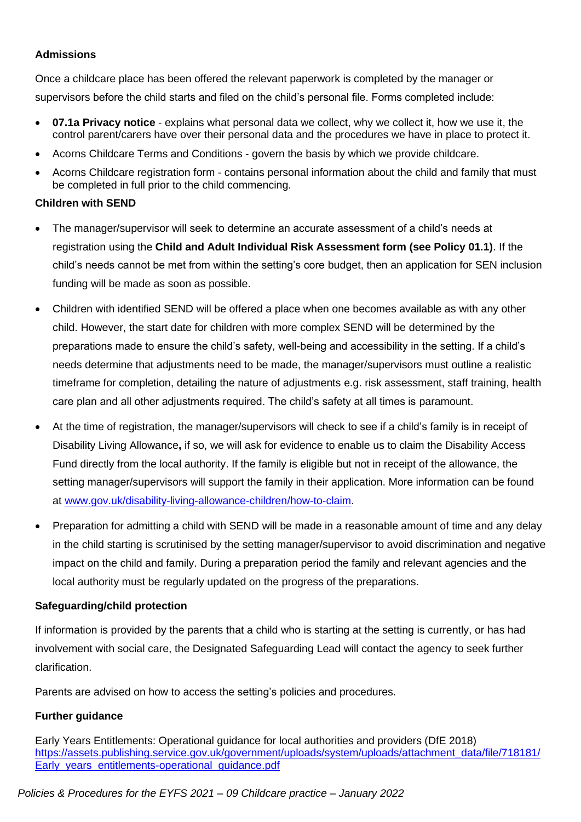## **Admissions**

Once a childcare place has been offered the relevant paperwork is completed by the manager or supervisors before the child starts and filed on the child's personal file. Forms completed include:

- **07.1a Privacy notice** explains what personal data we collect, why we collect it, how we use it, the control parent/carers have over their personal data and the procedures we have in place to protect it.
- Acorns Childcare Terms and Conditions govern the basis by which we provide childcare.
- Acorns Childcare registration form contains personal information about the child and family that must be completed in full prior to the child commencing.

### **Children with SEND**

- The manager/supervisor will seek to determine an accurate assessment of a child's needs at registration using the **Child and Adult Individual Risk Assessment form (see Policy 01.1)**. If the child's needs cannot be met from within the setting's core budget, then an application for SEN inclusion funding will be made as soon as possible.
- Children with identified SEND will be offered a place when one becomes available as with any other child. However, the start date for children with more complex SEND will be determined by the preparations made to ensure the child's safety, well-being and accessibility in the setting. If a child's needs determine that adjustments need to be made, the manager/supervisors must outline a realistic timeframe for completion, detailing the nature of adjustments e.g. risk assessment, staff training, health care plan and all other adjustments required. The child's safety at all times is paramount.
- At the time of registration, the manager/supervisors will check to see if a child's family is in receipt of Disability Living Allowance**,** if so, we will ask for evidence to enable us to claim the Disability Access Fund directly from the local authority. If the family is eligible but not in receipt of the allowance, the setting manager/supervisors will support the family in their application. More information can be found at [www.gov.uk/disability-living-allowance-children/how-to-claim.](http://www.gov.uk/disability-living-allowance-children/how-to-claim)
- Preparation for admitting a child with SEND will be made in a reasonable amount of time and any delay in the child starting is scrutinised by the setting manager/supervisor to avoid discrimination and negative impact on the child and family. During a preparation period the family and relevant agencies and the local authority must be regularly updated on the progress of the preparations.

## **Safeguarding/child protection**

If information is provided by the parents that a child who is starting at the setting is currently, or has had involvement with social care, the Designated Safeguarding Lead will contact the agency to seek further clarification.

Parents are advised on how to access the setting's policies and procedures.

## **Further guidance**

Early Years Entitlements: Operational guidance for local authorities and providers (DfE 2018) [https://assets.publishing.service.gov.uk/government/uploads/system/uploads/attachment\\_data/file/718181/](https://assets.publishing.service.gov.uk/government/uploads/system/uploads/attachment_data/file/718181/Early_years_entitlements-operational_guidance.pdf) [Early\\_years\\_entitlements-operational\\_guidance.pdf](https://assets.publishing.service.gov.uk/government/uploads/system/uploads/attachment_data/file/718181/Early_years_entitlements-operational_guidance.pdf)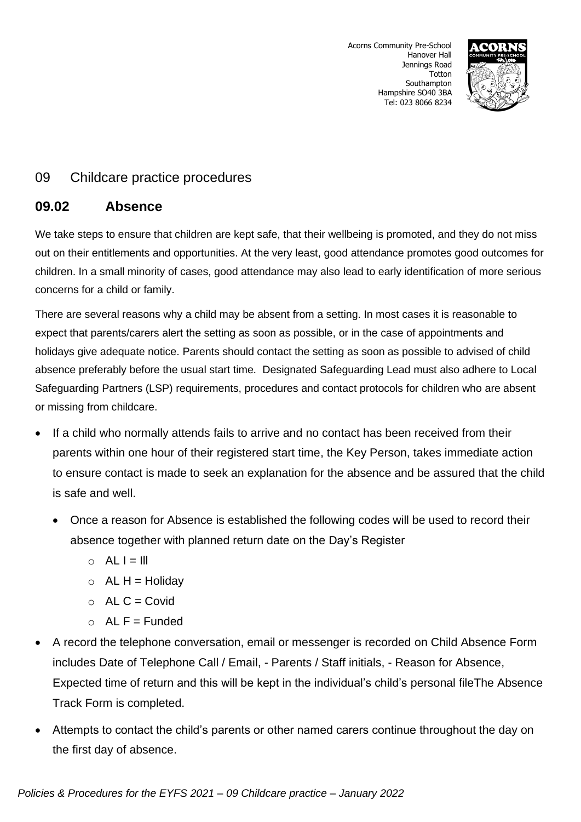

# **09.02 Absence**

We take steps to ensure that children are kept safe, that their wellbeing is promoted, and they do not miss out on their entitlements and opportunities. At the very least, good attendance promotes good outcomes for children. In a small minority of cases, good attendance may also lead to early identification of more serious concerns for a child or family.

There are several reasons why a child may be absent from a setting. In most cases it is reasonable to expect that parents/carers alert the setting as soon as possible, or in the case of appointments and holidays give adequate notice. Parents should contact the setting as soon as possible to advised of child absence preferably before the usual start time. Designated Safeguarding Lead must also adhere to Local Safeguarding Partners (LSP) requirements, procedures and contact protocols for children who are absent or missing from childcare.

- If a child who normally attends fails to arrive and no contact has been received from their parents within one hour of their registered start time, the Key Person, takes immediate action to ensure contact is made to seek an explanation for the absence and be assured that the child is safe and well.
	- Once a reason for Absence is established the following codes will be used to record their absence together with planned return date on the Day's Register
		- $O$  AL  $I = III$
		- $\circ$  AL H = Holiday
		- $O$  AL C = Covid
		- $\circ$  AL F = Funded
- A record the telephone conversation, email or messenger is recorded on Child Absence Form includes Date of Telephone Call / Email, - Parents / Staff initials, - Reason for Absence, Expected time of return and this will be kept in the individual's child's personal fileThe Absence Track Form is completed.
- Attempts to contact the child's parents or other named carers continue throughout the day on the first day of absence.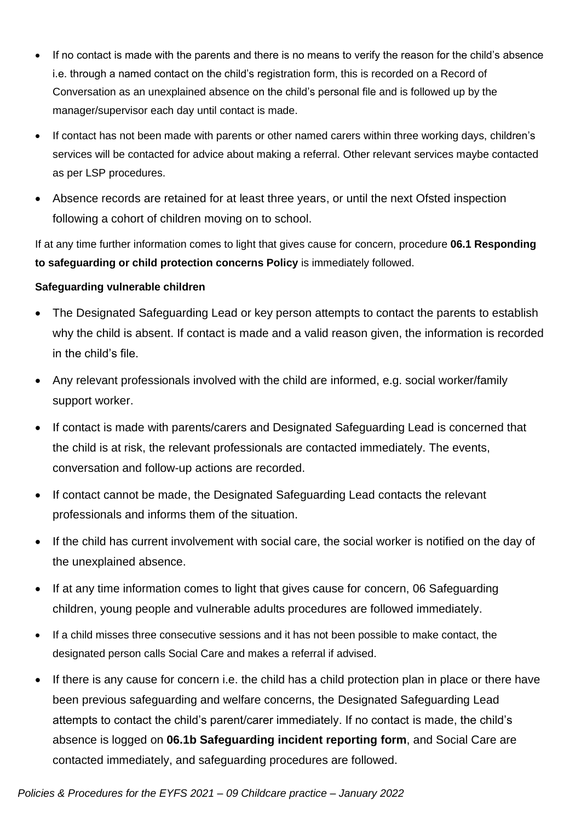- If no contact is made with the parents and there is no means to verify the reason for the child's absence i.e. through a named contact on the child's registration form, this is recorded on a Record of Conversation as an unexplained absence on the child's personal file and is followed up by the manager/supervisor each day until contact is made.
- If contact has not been made with parents or other named carers within three working days, children's services will be contacted for advice about making a referral. Other relevant services maybe contacted as per LSP procedures.
- Absence records are retained for at least three years, or until the next Ofsted inspection following a cohort of children moving on to school.

If at any time further information comes to light that gives cause for concern, procedure **06.1 Responding to safeguarding or child protection concerns Policy** is immediately followed.

## **Safeguarding vulnerable children**

- The Designated Safeguarding Lead or key person attempts to contact the parents to establish why the child is absent. If contact is made and a valid reason given, the information is recorded in the child's file.
- Any relevant professionals involved with the child are informed, e.g. social worker/family support worker.
- If contact is made with parents/carers and Designated Safeguarding Lead is concerned that the child is at risk, the relevant professionals are contacted immediately. The events, conversation and follow-up actions are recorded.
- If contact cannot be made, the Designated Safeguarding Lead contacts the relevant professionals and informs them of the situation.
- If the child has current involvement with social care, the social worker is notified on the day of the unexplained absence.
- If at any time information comes to light that gives cause for concern, 06 Safeguarding children, young people and vulnerable adults procedures are followed immediately.
- If a child misses three consecutive sessions and it has not been possible to make contact, the designated person calls Social Care and makes a referral if advised.
- If there is any cause for concern i.e. the child has a child protection plan in place or there have been previous safeguarding and welfare concerns, the Designated Safeguarding Lead attempts to contact the child's parent/carer immediately. If no contact is made, the child's absence is logged on **06.1b Safeguarding incident reporting form**, and Social Care are contacted immediately, and safeguarding procedures are followed.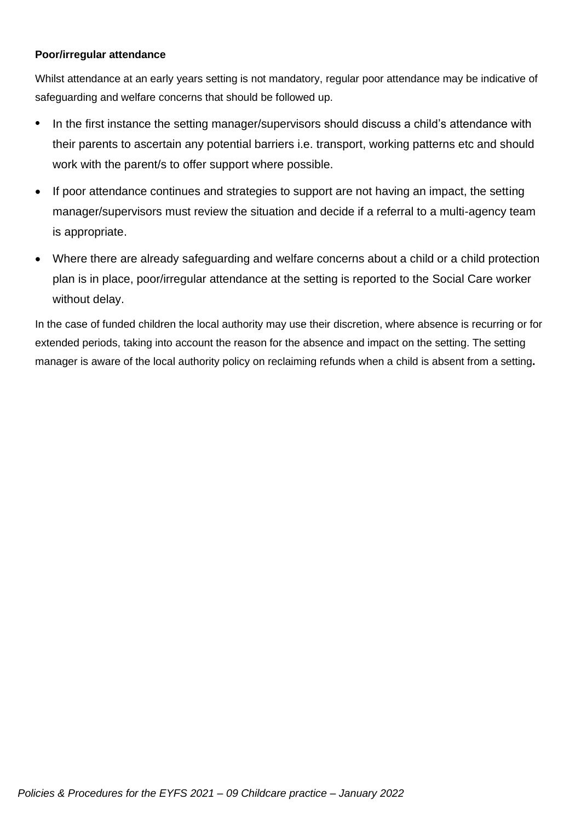## **Poor/irregular attendance**

Whilst attendance at an early years setting is not mandatory, regular poor attendance may be indicative of safeguarding and welfare concerns that should be followed up.

- In the first instance the setting manager/supervisors should discuss a child's attendance with their parents to ascertain any potential barriers i.e. transport, working patterns etc and should work with the parent/s to offer support where possible.
- If poor attendance continues and strategies to support are not having an impact, the setting manager/supervisors must review the situation and decide if a referral to a multi-agency team is appropriate.
- Where there are already safeguarding and welfare concerns about a child or a child protection plan is in place, poor/irregular attendance at the setting is reported to the Social Care worker without delay.

In the case of funded children the local authority may use their discretion, where absence is recurring or for extended periods, taking into account the reason for the absence and impact on the setting. The setting manager is aware of the local authority policy on reclaiming refunds when a child is absent from a setting**.**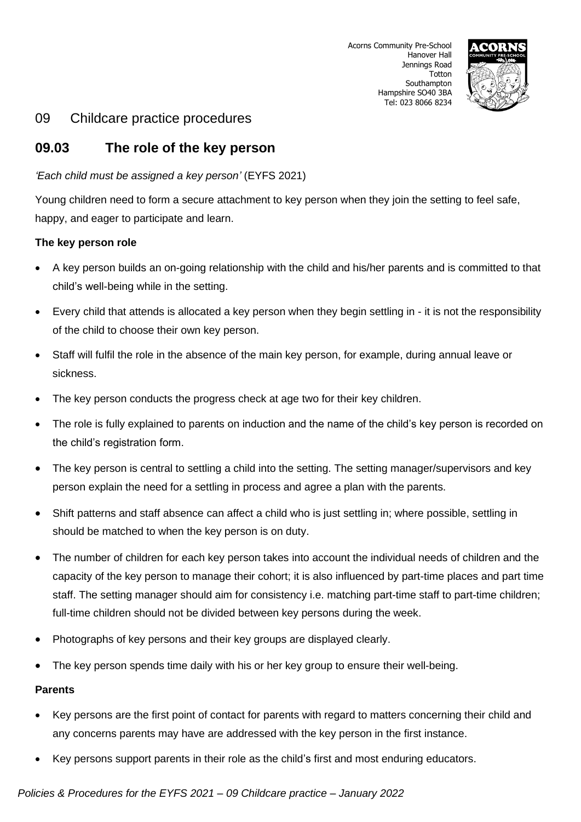

# **09.03 The role of the key person**

# *'Each child must be assigned a key person'* (EYFS 2021)

Young children need to form a secure attachment to key person when they join the setting to feel safe, happy, and eager to participate and learn.

# **The key person role**

- A key person builds an on-going relationship with the child and his/her parents and is committed to that child's well-being while in the setting.
- Every child that attends is allocated a key person when they begin settling in it is not the responsibility of the child to choose their own key person.
- Staff will fulfil the role in the absence of the main key person, for example, during annual leave or sickness.
- The key person conducts the progress check at age two for their key children.
- The role is fully explained to parents on induction and the name of the child's key person is recorded on the child's registration form.
- The key person is central to settling a child into the setting. The setting manager/supervisors and key person explain the need for a settling in process and agree a plan with the parents.
- Shift patterns and staff absence can affect a child who is just settling in; where possible, settling in should be matched to when the key person is on duty.
- The number of children for each key person takes into account the individual needs of children and the capacity of the key person to manage their cohort; it is also influenced by part-time places and part time staff. The setting manager should aim for consistency i.e. matching part-time staff to part-time children; full-time children should not be divided between key persons during the week.
- Photographs of key persons and their key groups are displayed clearly.
- The key person spends time daily with his or her key group to ensure their well-being.

## **Parents**

- Key persons are the first point of contact for parents with regard to matters concerning their child and any concerns parents may have are addressed with the key person in the first instance.
- Key persons support parents in their role as the child's first and most enduring educators.

## *Policies & Procedures for the EYFS 2021 – 09 Childcare practice – January 2022*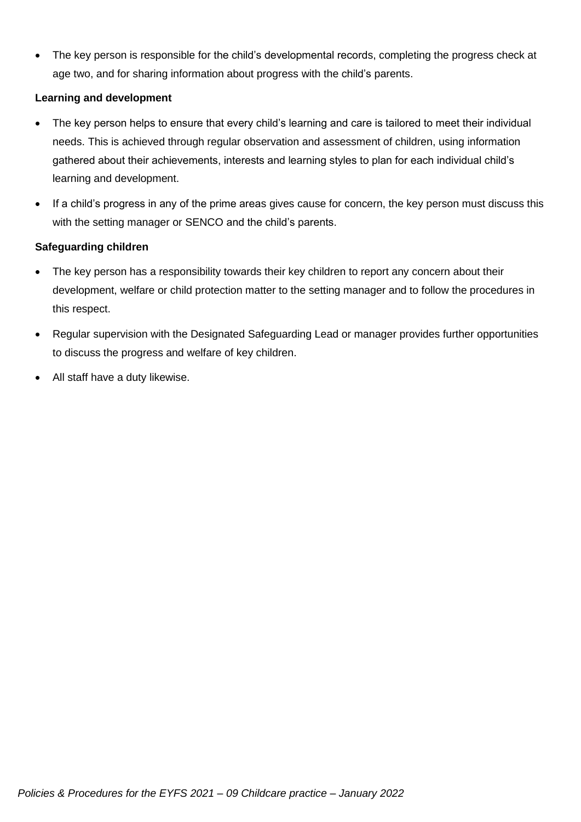• The key person is responsible for the child's developmental records, completing the progress check at age two, and for sharing information about progress with the child's parents.

### **Learning and development**

- The key person helps to ensure that every child's learning and care is tailored to meet their individual needs. This is achieved through regular observation and assessment of children, using information gathered about their achievements, interests and learning styles to plan for each individual child's learning and development.
- If a child's progress in any of the prime areas gives cause for concern, the key person must discuss this with the setting manager or SENCO and the child's parents.

## **Safeguarding children**

- The key person has a responsibility towards their key children to report any concern about their development, welfare or child protection matter to the setting manager and to follow the procedures in this respect.
- Regular supervision with the Designated Safeguarding Lead or manager provides further opportunities to discuss the progress and welfare of key children.
- All staff have a duty likewise.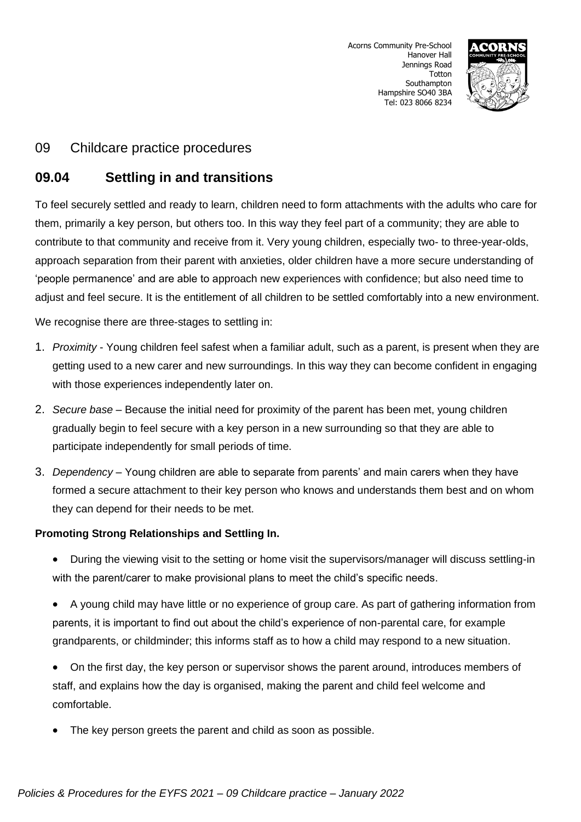

# **09.04 Settling in and transitions**

To feel securely settled and ready to learn, children need to form attachments with the adults who care for them, primarily a key person, but others too. In this way they feel part of a community; they are able to contribute to that community and receive from it. Very young children, especially two- to three-year-olds, approach separation from their parent with anxieties, older children have a more secure understanding of 'people permanence' and are able to approach new experiences with confidence; but also need time to adjust and feel secure. It is the entitlement of all children to be settled comfortably into a new environment.

We recognise there are three-stages to settling in:

- 1. *Proximity* Young children feel safest when a familiar adult, such as a parent, is present when they are getting used to a new carer and new surroundings. In this way they can become confident in engaging with those experiences independently later on.
- 2. *Secure base* Because the initial need for proximity of the parent has been met, young children gradually begin to feel secure with a key person in a new surrounding so that they are able to participate independently for small periods of time.
- 3. *Dependency* Young children are able to separate from parents' and main carers when they have formed a secure attachment to their key person who knows and understands them best and on whom they can depend for their needs to be met.

## **Promoting Strong Relationships and Settling In.**

- During the viewing visit to the setting or home visit the supervisors/manager will discuss settling-in with the parent/carer to make provisional plans to meet the child's specific needs.
- A young child may have little or no experience of group care. As part of gathering information from parents, it is important to find out about the child's experience of non-parental care, for example grandparents, or childminder; this informs staff as to how a child may respond to a new situation.

• On the first day, the key person or supervisor shows the parent around, introduces members of staff, and explains how the day is organised, making the parent and child feel welcome and comfortable.

The key person greets the parent and child as soon as possible.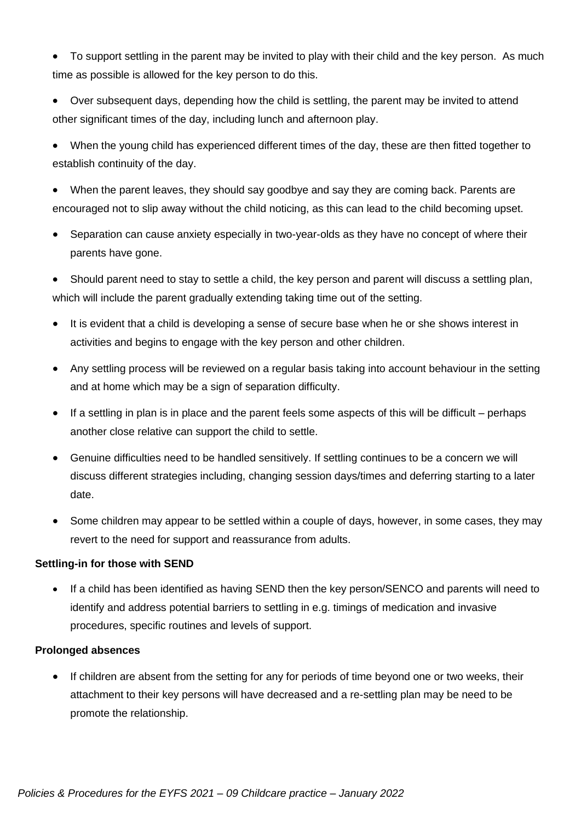• To support settling in the parent may be invited to play with their child and the key person. As much time as possible is allowed for the key person to do this.

• Over subsequent days, depending how the child is settling, the parent may be invited to attend other significant times of the day, including lunch and afternoon play.

• When the young child has experienced different times of the day, these are then fitted together to establish continuity of the day.

• When the parent leaves, they should say goodbye and say they are coming back. Parents are encouraged not to slip away without the child noticing, as this can lead to the child becoming upset.

• Separation can cause anxiety especially in two-year-olds as they have no concept of where their parents have gone.

• Should parent need to stay to settle a child, the key person and parent will discuss a settling plan, which will include the parent gradually extending taking time out of the setting.

- It is evident that a child is developing a sense of secure base when he or she shows interest in activities and begins to engage with the key person and other children.
- Any settling process will be reviewed on a regular basis taking into account behaviour in the setting and at home which may be a sign of separation difficulty.
- If a settling in plan is in place and the parent feels some aspects of this will be difficult perhaps another close relative can support the child to settle.
- Genuine difficulties need to be handled sensitively. If settling continues to be a concern we will discuss different strategies including, changing session days/times and deferring starting to a later date.
- Some children may appear to be settled within a couple of days, however, in some cases, they may revert to the need for support and reassurance from adults.

## **Settling-in for those with SEND**

• If a child has been identified as having SEND then the key person/SENCO and parents will need to identify and address potential barriers to settling in e.g. timings of medication and invasive procedures, specific routines and levels of support.

## **Prolonged absences**

If children are absent from the setting for any for periods of time beyond one or two weeks, their attachment to their key persons will have decreased and a re-settling plan may be need to be promote the relationship.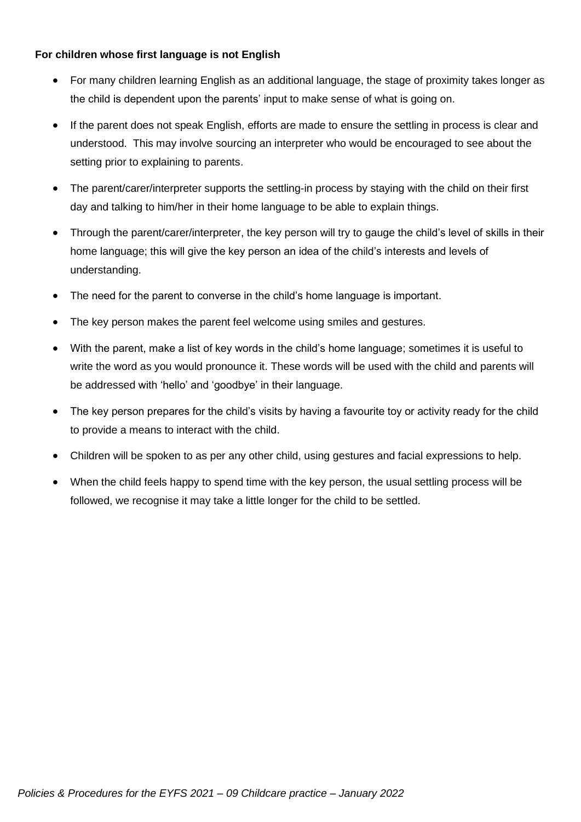## **For children whose first language is not English**

- For many children learning English as an additional language, the stage of proximity takes longer as the child is dependent upon the parents' input to make sense of what is going on.
- If the parent does not speak English, efforts are made to ensure the settling in process is clear and understood. This may involve sourcing an interpreter who would be encouraged to see about the setting prior to explaining to parents.
- The parent/carer/interpreter supports the settling-in process by staying with the child on their first day and talking to him/her in their home language to be able to explain things.
- Through the parent/carer/interpreter, the key person will try to gauge the child's level of skills in their home language; this will give the key person an idea of the child's interests and levels of understanding.
- The need for the parent to converse in the child's home language is important.
- The key person makes the parent feel welcome using smiles and gestures.
- With the parent, make a list of key words in the child's home language; sometimes it is useful to write the word as you would pronounce it. These words will be used with the child and parents will be addressed with 'hello' and 'goodbye' in their language.
- The key person prepares for the child's visits by having a favourite toy or activity ready for the child to provide a means to interact with the child.
- Children will be spoken to as per any other child, using gestures and facial expressions to help.
- When the child feels happy to spend time with the key person, the usual settling process will be followed, we recognise it may take a little longer for the child to be settled.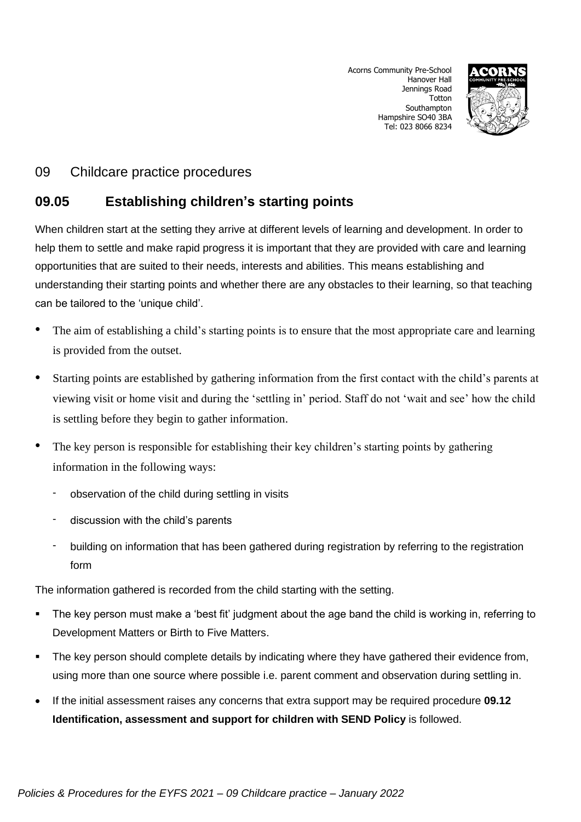Acorns Community Pre-School Hanover Hall Jennings Road **Totton** Southampton Hampshire SO40 3BA Tel: 023 8066 8234



# 09 Childcare practice procedures

# **09.05 Establishing children's starting points**

When children start at the setting they arrive at different levels of learning and development. In order to help them to settle and make rapid progress it is important that they are provided with care and learning opportunities that are suited to their needs, interests and abilities. This means establishing and understanding their starting points and whether there are any obstacles to their learning, so that teaching can be tailored to the 'unique child'.

- The aim of establishing a child's starting points is to ensure that the most appropriate care and learning is provided from the outset.
- Starting points are established by gathering information from the first contact with the child's parents at viewing visit or home visit and during the 'settling in' period. Staff do not 'wait and see' how the child is settling before they begin to gather information.
- The key person is responsible for establishing their key children's starting points by gathering information in the following ways:
	- observation of the child during settling in visits
	- discussion with the child's parents
	- building on information that has been gathered during registration by referring to the registration form

The information gathered is recorded from the child starting with the setting.

- The key person must make a 'best fit' judgment about the age band the child is working in, referring to Development Matters or Birth to Five Matters.
- The key person should complete details by indicating where they have gathered their evidence from, using more than one source where possible i.e. parent comment and observation during settling in.
- If the initial assessment raises any concerns that extra support may be required procedure **09.12 Identification, assessment and support for children with SEND Policy** is followed.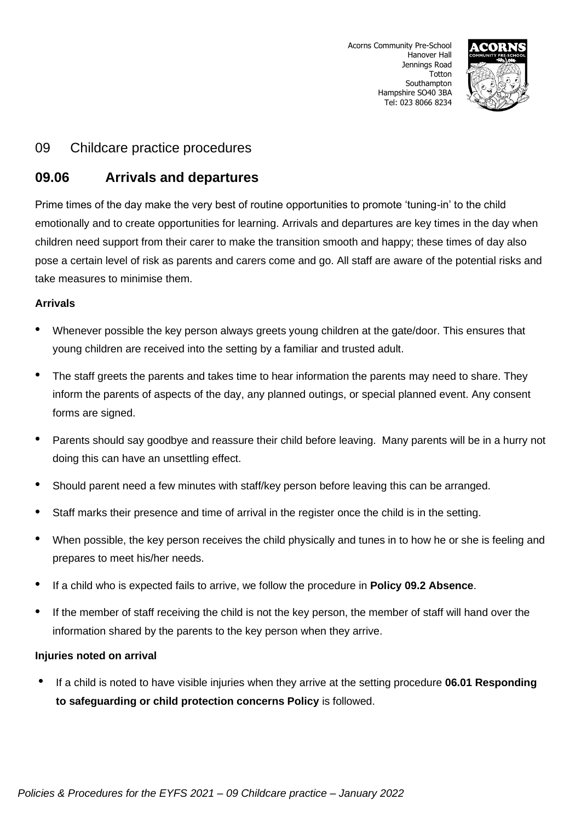

# **09.06 Arrivals and departures**

Prime times of the day make the very best of routine opportunities to promote 'tuning-in' to the child emotionally and to create opportunities for learning. Arrivals and departures are key times in the day when children need support from their carer to make the transition smooth and happy; these times of day also pose a certain level of risk as parents and carers come and go. All staff are aware of the potential risks and take measures to minimise them.

# **Arrivals**

- Whenever possible the key person always greets young children at the gate/door. This ensures that young children are received into the setting by a familiar and trusted adult.
- The staff greets the parents and takes time to hear information the parents may need to share. They inform the parents of aspects of the day, any planned outings, or special planned event. Any consent forms are signed.
- Parents should say goodbye and reassure their child before leaving. Many parents will be in a hurry not doing this can have an unsettling effect.
- Should parent need a few minutes with staff/key person before leaving this can be arranged.
- Staff marks their presence and time of arrival in the register once the child is in the setting.
- When possible, the key person receives the child physically and tunes in to how he or she is feeling and prepares to meet his/her needs.
- If a child who is expected fails to arrive, we follow the procedure in **Policy 09.2 Absence**.
- If the member of staff receiving the child is not the key person, the member of staff will hand over the information shared by the parents to the key person when they arrive.

## **Injuries noted on arrival**

• If a child is noted to have visible injuries when they arrive at the setting procedure **06.01 Responding to safeguarding or child protection concerns Policy** is followed.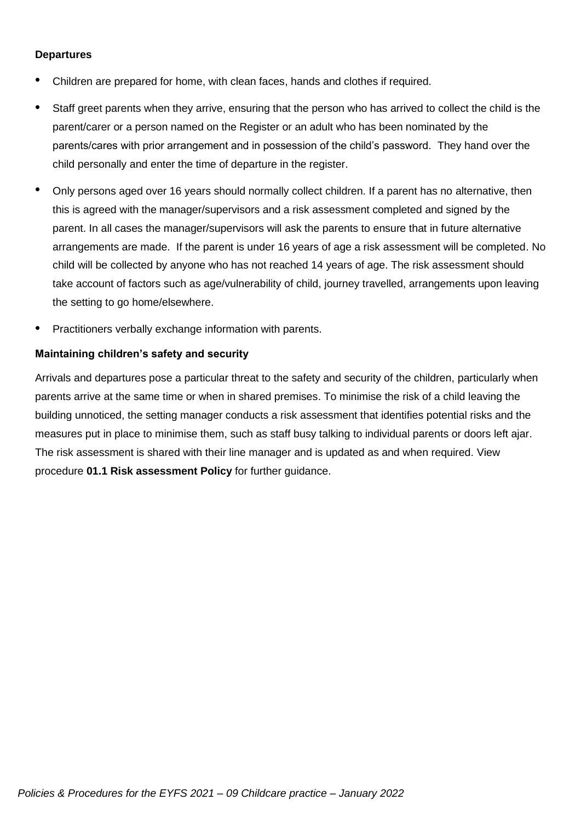### **Departures**

- Children are prepared for home, with clean faces, hands and clothes if required.
- Staff greet parents when they arrive, ensuring that the person who has arrived to collect the child is the parent/carer or a person named on the Register or an adult who has been nominated by the parents/cares with prior arrangement and in possession of the child's password. They hand over the child personally and enter the time of departure in the register.
- Only persons aged over 16 years should normally collect children. If a parent has no alternative, then this is agreed with the manager/supervisors and a risk assessment completed and signed by the parent. In all cases the manager/supervisors will ask the parents to ensure that in future alternative arrangements are made. If the parent is under 16 years of age a risk assessment will be completed. No child will be collected by anyone who has not reached 14 years of age. The risk assessment should take account of factors such as age/vulnerability of child, journey travelled, arrangements upon leaving the setting to go home/elsewhere.
- Practitioners verbally exchange information with parents.

#### **Maintaining children's safety and security**

Arrivals and departures pose a particular threat to the safety and security of the children, particularly when parents arrive at the same time or when in shared premises. To minimise the risk of a child leaving the building unnoticed, the setting manager conducts a risk assessment that identifies potential risks and the measures put in place to minimise them, such as staff busy talking to individual parents or doors left ajar. The risk assessment is shared with their line manager and is updated as and when required. View procedure **01.1 Risk assessment Policy** for further guidance.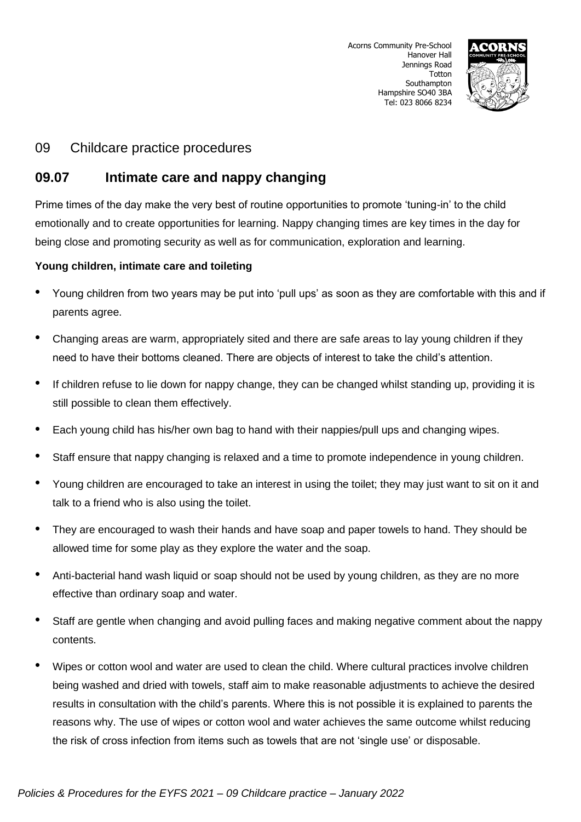

# **09.07 Intimate care and nappy changing**

Prime times of the day make the very best of routine opportunities to promote 'tuning-in' to the child emotionally and to create opportunities for learning. Nappy changing times are key times in the day for being close and promoting security as well as for communication, exploration and learning.

## **Young children, intimate care and toileting**

- Young children from two years may be put into 'pull ups' as soon as they are comfortable with this and if parents agree.
- Changing areas are warm, appropriately sited and there are safe areas to lay young children if they need to have their bottoms cleaned. There are objects of interest to take the child's attention.
- If children refuse to lie down for nappy change, they can be changed whilst standing up, providing it is still possible to clean them effectively.
- Each young child has his/her own bag to hand with their nappies/pull ups and changing wipes.
- Staff ensure that nappy changing is relaxed and a time to promote independence in young children.
- Young children are encouraged to take an interest in using the toilet; they may just want to sit on it and talk to a friend who is also using the toilet.
- They are encouraged to wash their hands and have soap and paper towels to hand. They should be allowed time for some play as they explore the water and the soap.
- Anti-bacterial hand wash liquid or soap should not be used by young children, as they are no more effective than ordinary soap and water.
- Staff are gentle when changing and avoid pulling faces and making negative comment about the nappy contents.
- Wipes or cotton wool and water are used to clean the child. Where cultural practices involve children being washed and dried with towels, staff aim to make reasonable adjustments to achieve the desired results in consultation with the child's parents. Where this is not possible it is explained to parents the reasons why. The use of wipes or cotton wool and water achieves the same outcome whilst reducing the risk of cross infection from items such as towels that are not 'single use' or disposable.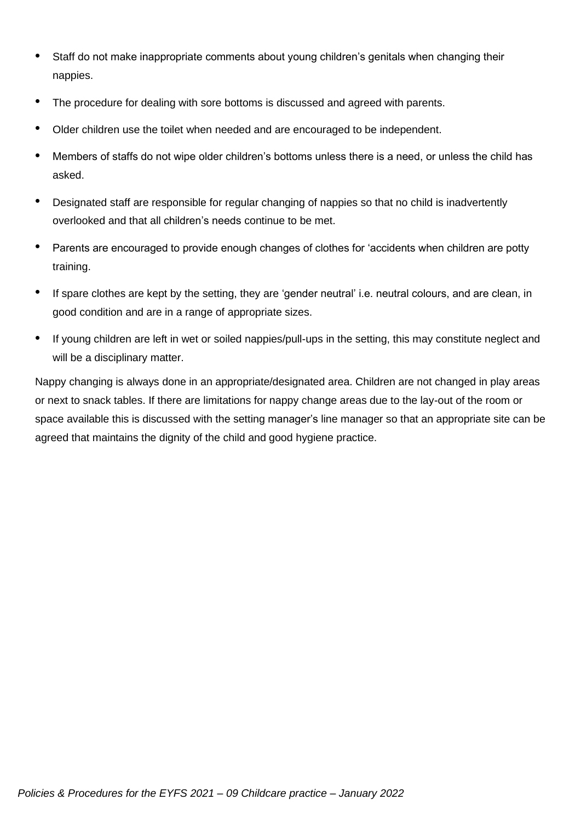- Staff do not make inappropriate comments about young children's genitals when changing their nappies.
- The procedure for dealing with sore bottoms is discussed and agreed with parents.
- Older children use the toilet when needed and are encouraged to be independent.
- Members of staffs do not wipe older children's bottoms unless there is a need, or unless the child has asked.
- Designated staff are responsible for regular changing of nappies so that no child is inadvertently overlooked and that all children's needs continue to be met.
- Parents are encouraged to provide enough changes of clothes for 'accidents when children are potty training.
- If spare clothes are kept by the setting, they are 'gender neutral' i.e. neutral colours, and are clean, in good condition and are in a range of appropriate sizes.
- If young children are left in wet or soiled nappies/pull-ups in the setting, this may constitute neglect and will be a disciplinary matter.

Nappy changing is always done in an appropriate/designated area. Children are not changed in play areas or next to snack tables. If there are limitations for nappy change areas due to the lay-out of the room or space available this is discussed with the setting manager's line manager so that an appropriate site can be agreed that maintains the dignity of the child and good hygiene practice.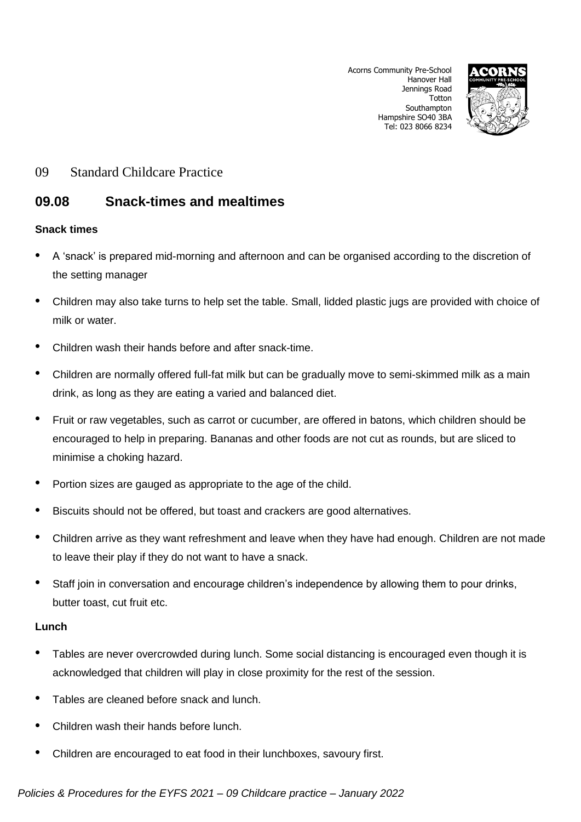Acorns Community Pre-School Hanover Hall Jennings Road **Totton** Southampton Hampshire SO40 3BA Tel: 023 8066 8234



# 09 Standard Childcare Practice

# **09.08 Snack-times and mealtimes**

# **Snack times**

- A 'snack' is prepared mid-morning and afternoon and can be organised according to the discretion of the setting manager
- Children may also take turns to help set the table. Small, lidded plastic jugs are provided with choice of milk or water.
- Children wash their hands before and after snack-time.
- Children are normally offered full-fat milk but can be gradually move to semi-skimmed milk as a main drink, as long as they are eating a varied and balanced diet.
- Fruit or raw vegetables, such as carrot or cucumber, are offered in batons, which children should be encouraged to help in preparing. Bananas and other foods are not cut as rounds, but are sliced to minimise a choking hazard.
- Portion sizes are gauged as appropriate to the age of the child.
- Biscuits should not be offered, but toast and crackers are good alternatives.
- Children arrive as they want refreshment and leave when they have had enough. Children are not made to leave their play if they do not want to have a snack.
- Staff join in conversation and encourage children's independence by allowing them to pour drinks, butter toast, cut fruit etc.

## **Lunch**

- Tables are never overcrowded during lunch. Some social distancing is encouraged even though it is acknowledged that children will play in close proximity for the rest of the session.
- Tables are cleaned before snack and lunch.
- Children wash their hands before lunch.
- Children are encouraged to eat food in their lunchboxes, savoury first.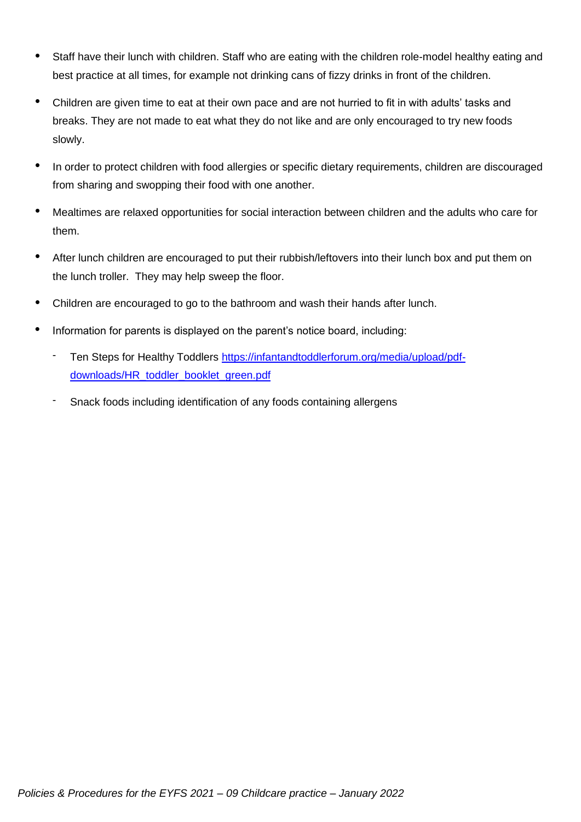- Staff have their lunch with children. Staff who are eating with the children role-model healthy eating and best practice at all times, for example not drinking cans of fizzy drinks in front of the children.
- Children are given time to eat at their own pace and are not hurried to fit in with adults' tasks and breaks. They are not made to eat what they do not like and are only encouraged to try new foods slowly.
- In order to protect children with food allergies or specific dietary requirements, children are discouraged from sharing and swopping their food with one another.
- Mealtimes are relaxed opportunities for social interaction between children and the adults who care for them.
- After lunch children are encouraged to put their rubbish/leftovers into their lunch box and put them on the lunch troller. They may help sweep the floor.
- Children are encouraged to go to the bathroom and wash their hands after lunch.
- Information for parents is displayed on the parent's notice board, including:
	- Ten Steps for Healthy Toddlers [https://infantandtoddlerforum.org/media/upload/pdf](https://infantandtoddlerforum.org/media/upload/pdf-downloads/HR_toddler_booklet_green.pdf)[downloads/HR\\_toddler\\_booklet\\_green.pdf](https://infantandtoddlerforum.org/media/upload/pdf-downloads/HR_toddler_booklet_green.pdf)
	- Snack foods including identification of any foods containing allergens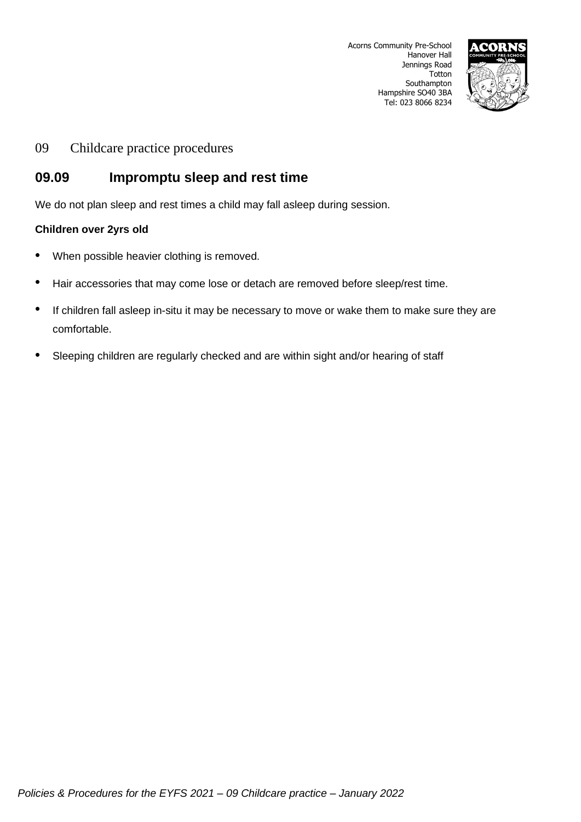

# **09.09 Impromptu sleep and rest time**

We do not plan sleep and rest times a child may fall asleep during session.

### **Children over 2yrs old**

- When possible heavier clothing is removed.
- Hair accessories that may come lose or detach are removed before sleep/rest time.
- If children fall asleep in-situ it may be necessary to move or wake them to make sure they are comfortable.
- Sleeping children are regularly checked and are within sight and/or hearing of staff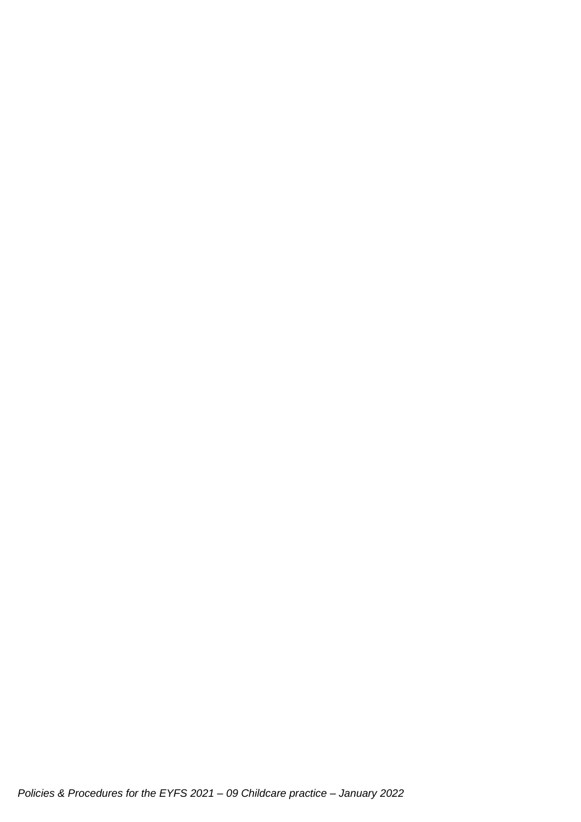*Policies & Procedures for the EYFS 2021 – 09 Childcare practice – January 2022*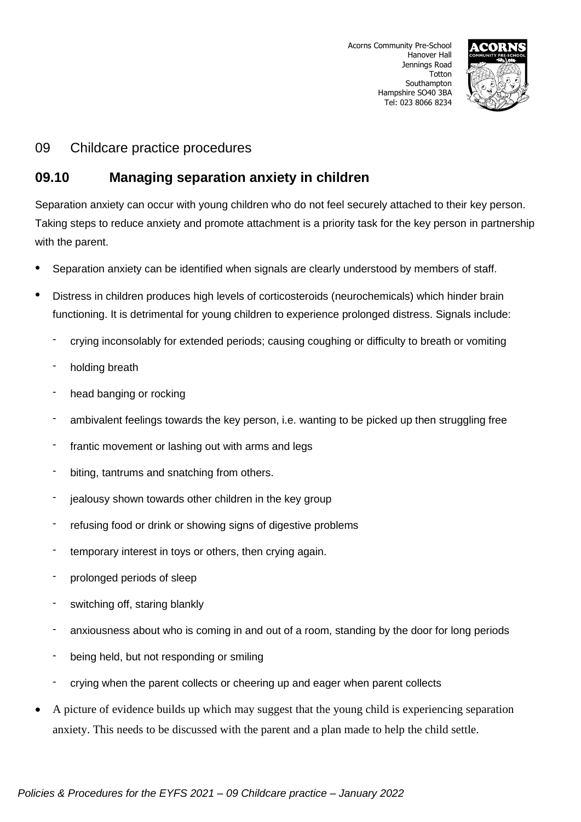

# **09.10 Managing separation anxiety in children**

Separation anxiety can occur with young children who do not feel securely attached to their key person. Taking steps to reduce anxiety and promote attachment is a priority task for the key person in partnership with the parent.

- Separation anxiety can be identified when signals are clearly understood by members of staff.
- Distress in children produces high levels of corticosteroids (neurochemicals) which hinder brain functioning. It is detrimental for young children to experience prolonged distress. Signals include:
	- crying inconsolably for extended periods; causing coughing or difficulty to breath or vomiting
	- holding breath
	- head banging or rocking
	- ambivalent feelings towards the key person, i.e. wanting to be picked up then struggling free
	- frantic movement or lashing out with arms and legs
	- biting, tantrums and snatching from others.
	- jealousy shown towards other children in the key group
	- refusing food or drink or showing signs of digestive problems
	- temporary interest in toys or others, then crying again.
	- prolonged periods of sleep
	- switching off, staring blankly
	- anxiousness about who is coming in and out of a room, standing by the door for long periods
	- being held, but not responding or smiling
	- crying when the parent collects or cheering up and eager when parent collects
- A picture of evidence builds up which may suggest that the young child is experiencing separation anxiety. This needs to be discussed with the parent and a plan made to help the child settle.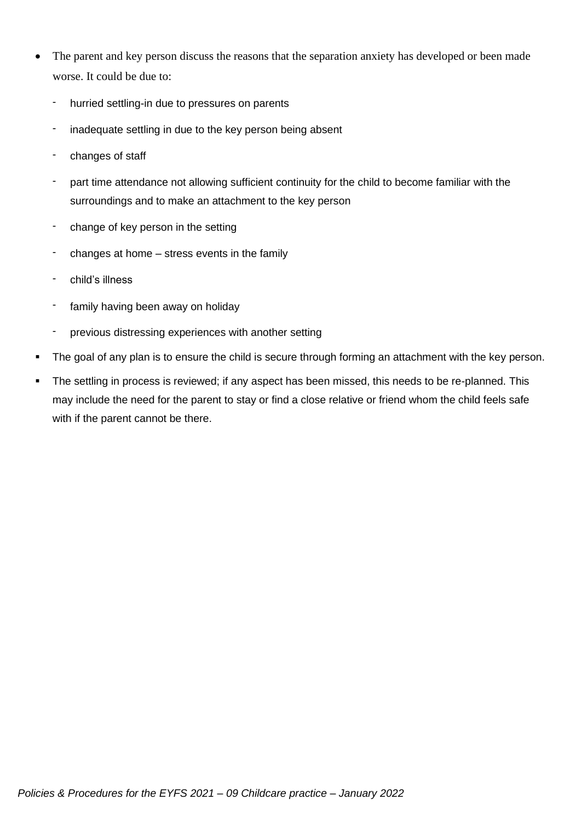- The parent and key person discuss the reasons that the separation anxiety has developed or been made worse. It could be due to:
	- hurried settling-in due to pressures on parents
	- inadequate settling in due to the key person being absent
	- changes of staff
	- part time attendance not allowing sufficient continuity for the child to become familiar with the surroundings and to make an attachment to the key person
	- change of key person in the setting
	- $changes at home stress events in the family$
	- child's illness
	- family having been away on holiday
	- previous distressing experiences with another setting
- The goal of any plan is to ensure the child is secure through forming an attachment with the key person.
- The settling in process is reviewed; if any aspect has been missed, this needs to be re-planned. This may include the need for the parent to stay or find a close relative or friend whom the child feels safe with if the parent cannot be there.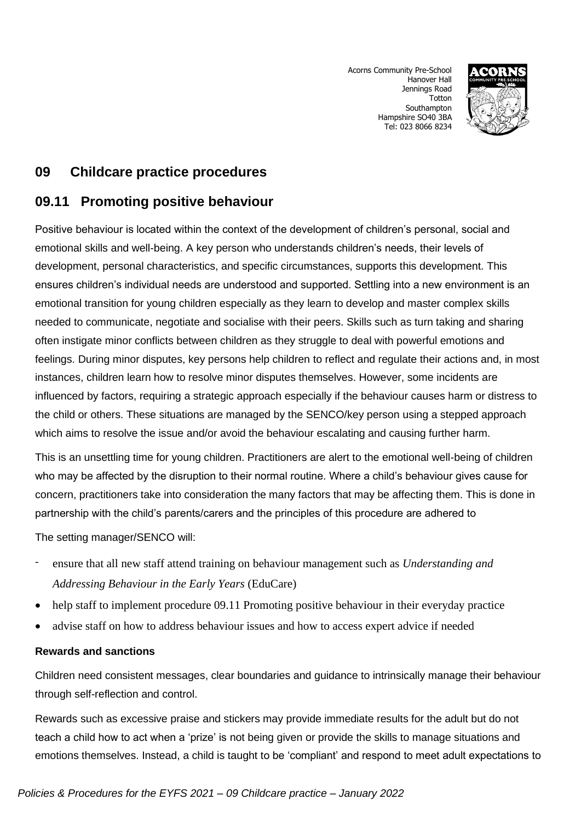Acorns Community Pre-School Hanover Hall Jennings Road **Totton** Southampton Hampshire SO40 3BA Tel: 023 8066 8234



# **09 Childcare practice procedures**

# **09.11 Promoting positive behaviour**

Positive behaviour is located within the context of the development of children's personal, social and emotional skills and well-being. A key person who understands children's needs, their levels of development, personal characteristics, and specific circumstances, supports this development. This ensures children's individual needs are understood and supported. Settling into a new environment is an emotional transition for young children especially as they learn to develop and master complex skills needed to communicate, negotiate and socialise with their peers. Skills such as turn taking and sharing often instigate minor conflicts between children as they struggle to deal with powerful emotions and feelings. During minor disputes, key persons help children to reflect and regulate their actions and, in most instances, children learn how to resolve minor disputes themselves. However, some incidents are influenced by factors, requiring a strategic approach especially if the behaviour causes harm or distress to the child or others. These situations are managed by the SENCO/key person using a stepped approach which aims to resolve the issue and/or avoid the behaviour escalating and causing further harm.

This is an unsettling time for young children. Practitioners are alert to the emotional well-being of children who may be affected by the disruption to their normal routine. Where a child's behaviour gives cause for concern, practitioners take into consideration the many factors that may be affecting them. This is done in partnership with the child's parents/carers and the principles of this procedure are adhered to

The setting manager/SENCO will:

- ensure that all new staff attend training on behaviour management such as *Understanding and Addressing Behaviour in the Early Years* (EduCare)
- help staff to implement procedure 09.11 Promoting positive behaviour in their everyday practice
- advise staff on how to address behaviour issues and how to access expert advice if needed

## **Rewards and sanctions**

Children need consistent messages, clear boundaries and guidance to intrinsically manage their behaviour through self-reflection and control.

Rewards such as excessive praise and stickers may provide immediate results for the adult but do not teach a child how to act when a 'prize' is not being given or provide the skills to manage situations and emotions themselves. Instead, a child is taught to be 'compliant' and respond to meet adult expectations to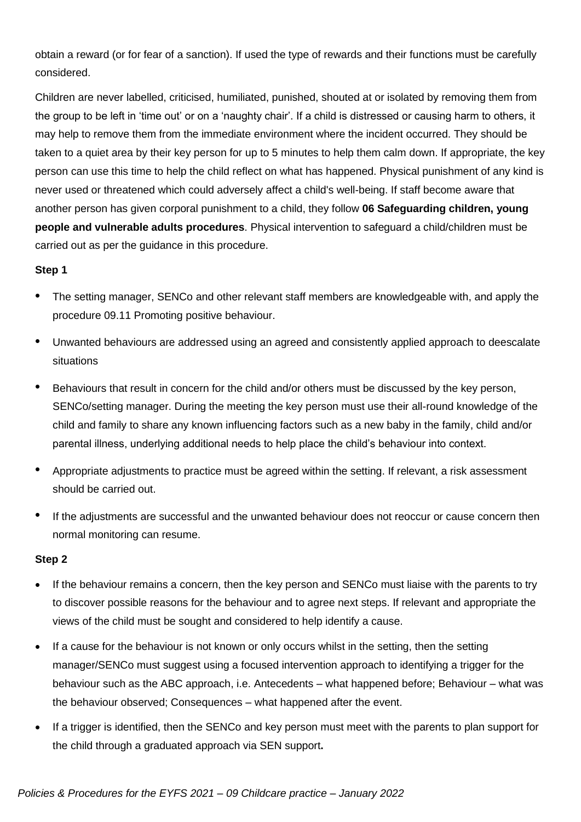obtain a reward (or for fear of a sanction). If used the type of rewards and their functions must be carefully considered.

Children are never labelled, criticised, humiliated, punished, shouted at or isolated by removing them from the group to be left in 'time out' or on a 'naughty chair'. If a child is distressed or causing harm to others, it may help to remove them from the immediate environment where the incident occurred. They should be taken to a quiet area by their key person for up to 5 minutes to help them calm down. If appropriate, the key person can use this time to help the child reflect on what has happened. Physical punishment of any kind is never used or threatened which could adversely affect a child's well-being. If staff become aware that another person has given corporal punishment to a child, they follow **06 Safeguarding children, young people and vulnerable adults procedures**. Physical intervention to safeguard a child/children must be carried out as per the guidance in this procedure.

#### **Step 1**

- The setting manager, SENCo and other relevant staff members are knowledgeable with, and apply the procedure 09.11 Promoting positive behaviour.
- Unwanted behaviours are addressed using an agreed and consistently applied approach to deescalate situations
- Behaviours that result in concern for the child and/or others must be discussed by the key person, SENCo/setting manager. During the meeting the key person must use their all-round knowledge of the child and family to share any known influencing factors such as a new baby in the family, child and/or parental illness, underlying additional needs to help place the child's behaviour into context.
- Appropriate adjustments to practice must be agreed within the setting. If relevant, a risk assessment should be carried out.
- If the adjustments are successful and the unwanted behaviour does not reoccur or cause concern then normal monitoring can resume.

## **Step 2**

- If the behaviour remains a concern, then the key person and SENCo must liaise with the parents to try to discover possible reasons for the behaviour and to agree next steps. If relevant and appropriate the views of the child must be sought and considered to help identify a cause.
- If a cause for the behaviour is not known or only occurs whilst in the setting, then the setting manager/SENCo must suggest using a focused intervention approach to identifying a trigger for the behaviour such as the ABC approach, i.e. Antecedents – what happened before; Behaviour – what was the behaviour observed; Consequences – what happened after the event.
- If a trigger is identified, then the SENCo and key person must meet with the parents to plan support for the child through a graduated approach via SEN support**.**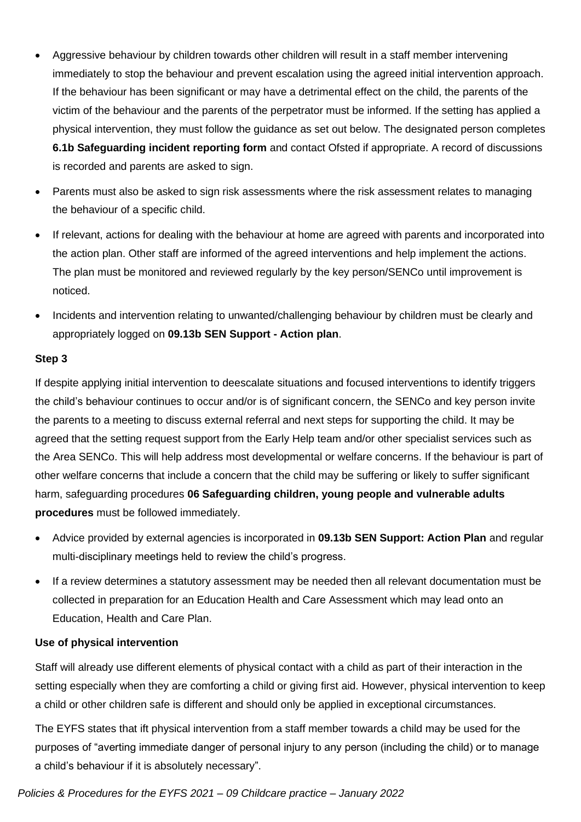- Aggressive behaviour by children towards other children will result in a staff member intervening immediately to stop the behaviour and prevent escalation using the agreed initial intervention approach. If the behaviour has been significant or may have a detrimental effect on the child, the parents of the victim of the behaviour and the parents of the perpetrator must be informed. If the setting has applied a physical intervention, they must follow the guidance as set out below. The designated person completes **6.1b Safeguarding incident reporting form** and contact Ofsted if appropriate. A record of discussions is recorded and parents are asked to sign.
- Parents must also be asked to sign risk assessments where the risk assessment relates to managing the behaviour of a specific child.
- If relevant, actions for dealing with the behaviour at home are agreed with parents and incorporated into the action plan. Other staff are informed of the agreed interventions and help implement the actions. The plan must be monitored and reviewed regularly by the key person/SENCo until improvement is noticed.
- Incidents and intervention relating to unwanted/challenging behaviour by children must be clearly and appropriately logged on **09.13b SEN Support - Action plan**.

### **Step 3**

If despite applying initial intervention to deescalate situations and focused interventions to identify triggers the child's behaviour continues to occur and/or is of significant concern, the SENCo and key person invite the parents to a meeting to discuss external referral and next steps for supporting the child. It may be agreed that the setting request support from the Early Help team and/or other specialist services such as the Area SENCo. This will help address most developmental or welfare concerns. If the behaviour is part of other welfare concerns that include a concern that the child may be suffering or likely to suffer significant harm, safeguarding procedures **06 Safeguarding children, young people and vulnerable adults procedures** must be followed immediately.

- Advice provided by external agencies is incorporated in **09.13b SEN Support: Action Plan** and regular multi-disciplinary meetings held to review the child's progress.
- If a review determines a statutory assessment may be needed then all relevant documentation must be collected in preparation for an Education Health and Care Assessment which may lead onto an Education, Health and Care Plan.

## **Use of physical intervention**

Staff will already use different elements of physical contact with a child as part of their interaction in the setting especially when they are comforting a child or giving first aid. However, physical intervention to keep a child or other children safe is different and should only be applied in exceptional circumstances.

The EYFS states that ift physical intervention from a staff member towards a child may be used for the purposes of "averting immediate danger of personal injury to any person (including the child) or to manage a child's behaviour if it is absolutely necessary".

## *Policies & Procedures for the EYFS 2021 – 09 Childcare practice – January 2022*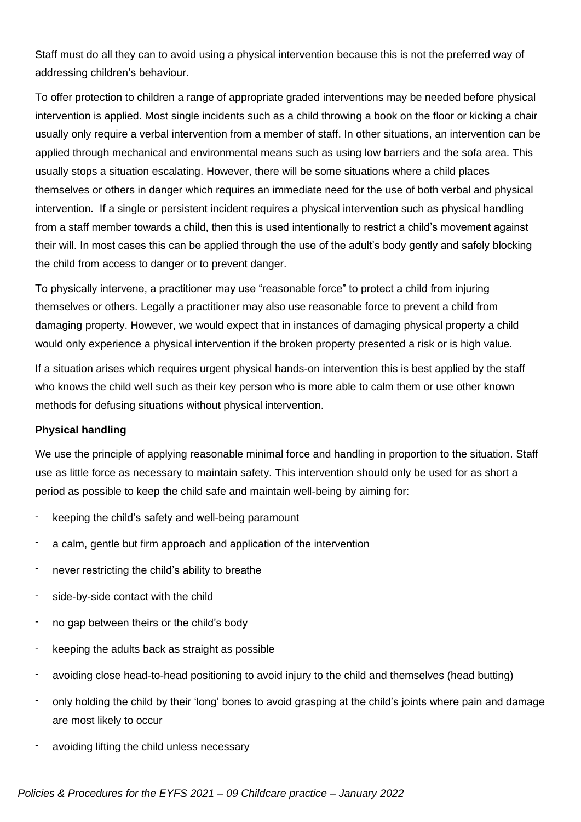Staff must do all they can to avoid using a physical intervention because this is not the preferred way of addressing children's behaviour.

To offer protection to children a range of appropriate graded interventions may be needed before physical intervention is applied. Most single incidents such as a child throwing a book on the floor or kicking a chair usually only require a verbal intervention from a member of staff. In other situations, an intervention can be applied through mechanical and environmental means such as using low barriers and the sofa area. This usually stops a situation escalating. However, there will be some situations where a child places themselves or others in danger which requires an immediate need for the use of both verbal and physical intervention. If a single or persistent incident requires a physical intervention such as physical handling from a staff member towards a child, then this is used intentionally to restrict a child's movement against their will. In most cases this can be applied through the use of the adult's body gently and safely blocking the child from access to danger or to prevent danger.

To physically intervene, a practitioner may use "reasonable force" to protect a child from injuring themselves or others. Legally a practitioner may also use reasonable force to prevent a child from damaging property. However, we would expect that in instances of damaging physical property a child would only experience a physical intervention if the broken property presented a risk or is high value.

If a situation arises which requires urgent physical hands-on intervention this is best applied by the staff who knows the child well such as their key person who is more able to calm them or use other known methods for defusing situations without physical intervention.

#### **Physical handling**

We use the principle of applying reasonable minimal force and handling in proportion to the situation. Staff use as little force as necessary to maintain safety. This intervention should only be used for as short a period as possible to keep the child safe and maintain well-being by aiming for:

- keeping the child's safety and well-being paramount
- a calm, gentle but firm approach and application of the intervention
- never restricting the child's ability to breathe
- side-by-side contact with the child
- no gap between theirs or the child's body
- keeping the adults back as straight as possible
- avoiding close head-to-head positioning to avoid injury to the child and themselves (head butting)
- only holding the child by their 'long' bones to avoid grasping at the child's joints where pain and damage are most likely to occur
- avoiding lifting the child unless necessary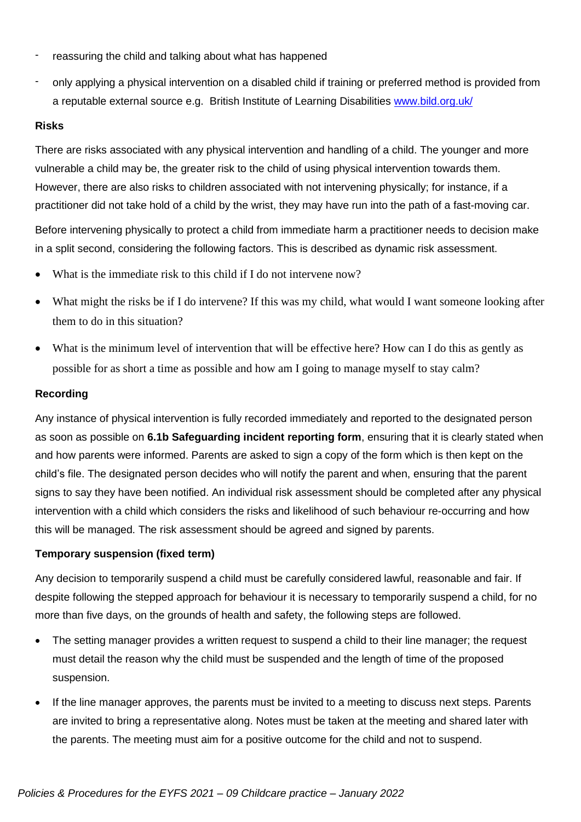- reassuring the child and talking about what has happened
- only applying a physical intervention on a disabled child if training or preferred method is provided from a reputable external source e.g. British Institute of Learning Disabilities [www.bild.org.uk/](http://www.bild.org.uk/)

### **Risks**

There are risks associated with any physical intervention and handling of a child. The younger and more vulnerable a child may be, the greater risk to the child of using physical intervention towards them. However, there are also risks to children associated with not intervening physically; for instance, if a practitioner did not take hold of a child by the wrist, they may have run into the path of a fast-moving car.

Before intervening physically to protect a child from immediate harm a practitioner needs to decision make in a split second, considering the following factors. This is described as dynamic risk assessment.

- What is the immediate risk to this child if I do not intervene now?
- What might the risks be if I do intervene? If this was my child, what would I want someone looking after them to do in this situation?
- What is the minimum level of intervention that will be effective here? How can I do this as gently as possible for as short a time as possible and how am I going to manage myself to stay calm?

#### **Recording**

Any instance of physical intervention is fully recorded immediately and reported to the designated person as soon as possible on **6.1b Safeguarding incident reporting form**, ensuring that it is clearly stated when and how parents were informed. Parents are asked to sign a copy of the form which is then kept on the child's file. The designated person decides who will notify the parent and when, ensuring that the parent signs to say they have been notified. An individual risk assessment should be completed after any physical intervention with a child which considers the risks and likelihood of such behaviour re-occurring and how this will be managed. The risk assessment should be agreed and signed by parents.

#### **Temporary suspension (fixed term)**

Any decision to temporarily suspend a child must be carefully considered lawful, reasonable and fair. If despite following the stepped approach for behaviour it is necessary to temporarily suspend a child, for no more than five days, on the grounds of health and safety, the following steps are followed.

- The setting manager provides a written request to suspend a child to their line manager; the request must detail the reason why the child must be suspended and the length of time of the proposed suspension.
- If the line manager approves, the parents must be invited to a meeting to discuss next steps. Parents are invited to bring a representative along. Notes must be taken at the meeting and shared later with the parents. The meeting must aim for a positive outcome for the child and not to suspend.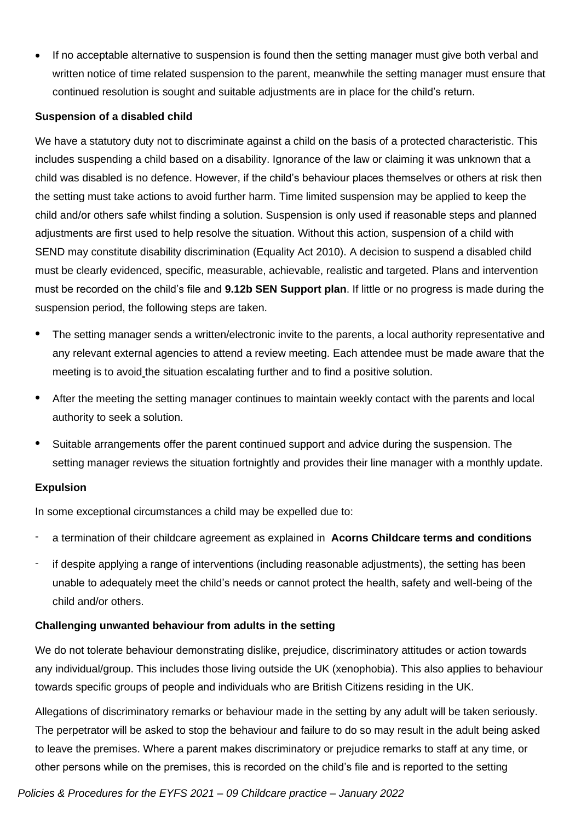• If no acceptable alternative to suspension is found then the setting manager must give both verbal and written notice of time related suspension to the parent, meanwhile the setting manager must ensure that continued resolution is sought and suitable adjustments are in place for the child's return.

### **Suspension of a disabled child**

We have a statutory duty not to discriminate against a child on the basis of a protected characteristic. This includes suspending a child based on a disability. Ignorance of the law or claiming it was unknown that a child was disabled is no defence. However, if the child's behaviour places themselves or others at risk then the setting must take actions to avoid further harm. Time limited suspension may be applied to keep the child and/or others safe whilst finding a solution. Suspension is only used if reasonable steps and planned adjustments are first used to help resolve the situation. Without this action, suspension of a child with SEND may constitute disability discrimination (Equality Act 2010). A decision to suspend a disabled child must be clearly evidenced, specific, measurable, achievable, realistic and targeted. Plans and intervention must be recorded on the child's file and **9.12b SEN Support plan**. If little or no progress is made during the suspension period, the following steps are taken.

- The setting manager sends a written/electronic invite to the parents, a local authority representative and any relevant external agencies to attend a review meeting. Each attendee must be made aware that the meeting is to avoid the situation escalating further and to find a positive solution.
- After the meeting the setting manager continues to maintain weekly contact with the parents and local authority to seek a solution.
- Suitable arrangements offer the parent continued support and advice during the suspension. The setting manager reviews the situation fortnightly and provides their line manager with a monthly update.

## **Expulsion**

In some exceptional circumstances a child may be expelled due to:

- a termination of their childcare agreement as explained in **Acorns Childcare terms and conditions**
- if despite applying a range of interventions (including reasonable adjustments), the setting has been unable to adequately meet the child's needs or cannot protect the health, safety and well-being of the child and/or others.

## **Challenging unwanted behaviour from adults in the setting**

We do not tolerate behaviour demonstrating dislike, prejudice, discriminatory attitudes or action towards any individual/group. This includes those living outside the UK (xenophobia). This also applies to behaviour towards specific groups of people and individuals who are British Citizens residing in the UK.

Allegations of discriminatory remarks or behaviour made in the setting by any adult will be taken seriously. The perpetrator will be asked to stop the behaviour and failure to do so may result in the adult being asked to leave the premises. Where a parent makes discriminatory or prejudice remarks to staff at any time, or other persons while on the premises, this is recorded on the child's file and is reported to the setting

#### *Policies & Procedures for the EYFS 2021 – 09 Childcare practice – January 2022*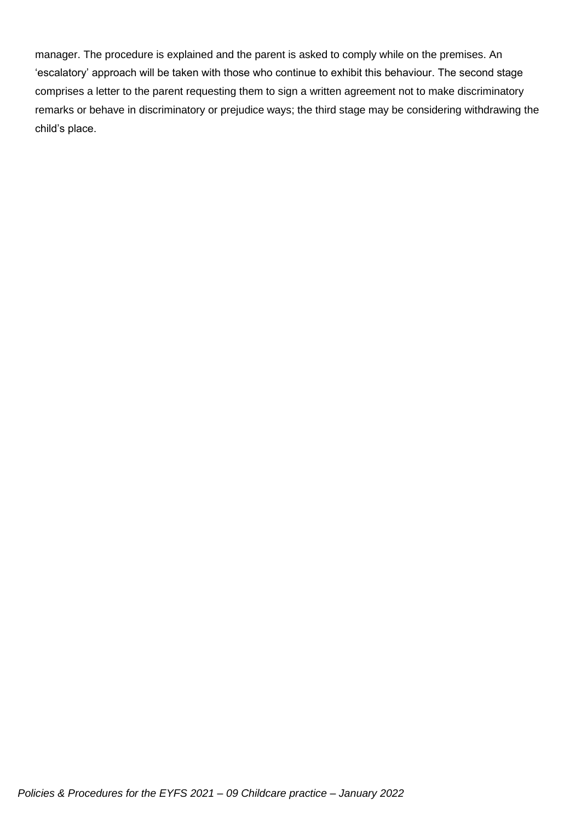manager. The procedure is explained and the parent is asked to comply while on the premises. An 'escalatory' approach will be taken with those who continue to exhibit this behaviour. The second stage comprises a letter to the parent requesting them to sign a written agreement not to make discriminatory remarks or behave in discriminatory or prejudice ways; the third stage may be considering withdrawing the child's place.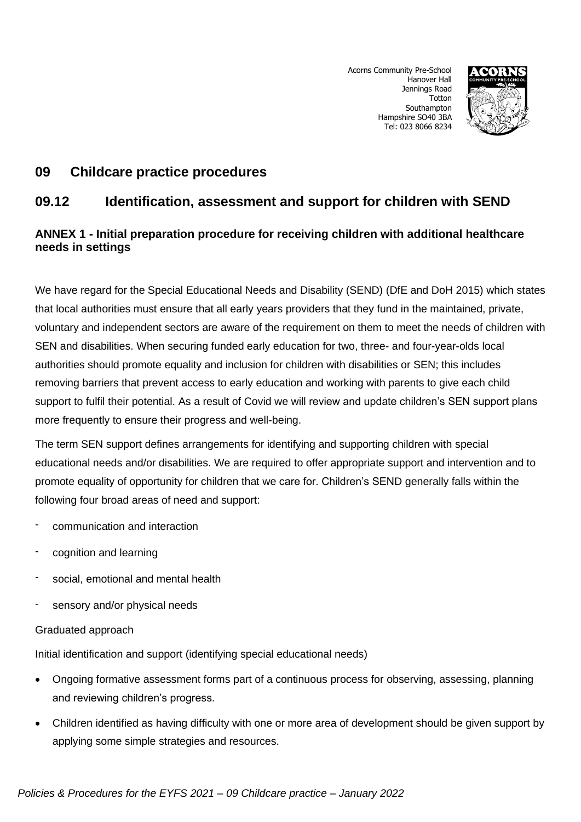Acorns Community Pre-School Hanover Hall Jennings Road **Totton** Southampton Hampshire SO40 3BA Tel: 023 8066 8234



# **09 Childcare practice procedures**

# **09.12 Identification, assessment and support for children with SEND**

# **ANNEX 1 - Initial preparation procedure for receiving children with additional healthcare needs in settings**

We have regard for the Special Educational Needs and Disability (SEND) (DfE and DoH 2015) which states that local authorities must ensure that all early years providers that they fund in the maintained, private, voluntary and independent sectors are aware of the requirement on them to meet the needs of children with SEN and disabilities. When securing funded early education for two, three- and four-year-olds local authorities should promote equality and inclusion for children with disabilities or SEN; this includes removing barriers that prevent access to early education and working with parents to give each child support to fulfil their potential. As a result of Covid we will review and update children's SEN support plans more frequently to ensure their progress and well-being.

The term SEN support defines arrangements for identifying and supporting children with special educational needs and/or disabilities. We are required to offer appropriate support and intervention and to promote equality of opportunity for children that we care for. Children's SEND generally falls within the following four broad areas of need and support:

- communication and interaction
- cognition and learning
- social, emotional and mental health
- sensory and/or physical needs

# Graduated approach

Initial identification and support (identifying special educational needs)

- Ongoing formative assessment forms part of a continuous process for observing, assessing, planning and reviewing children's progress.
- Children identified as having difficulty with one or more area of development should be given support by applying some simple strategies and resources.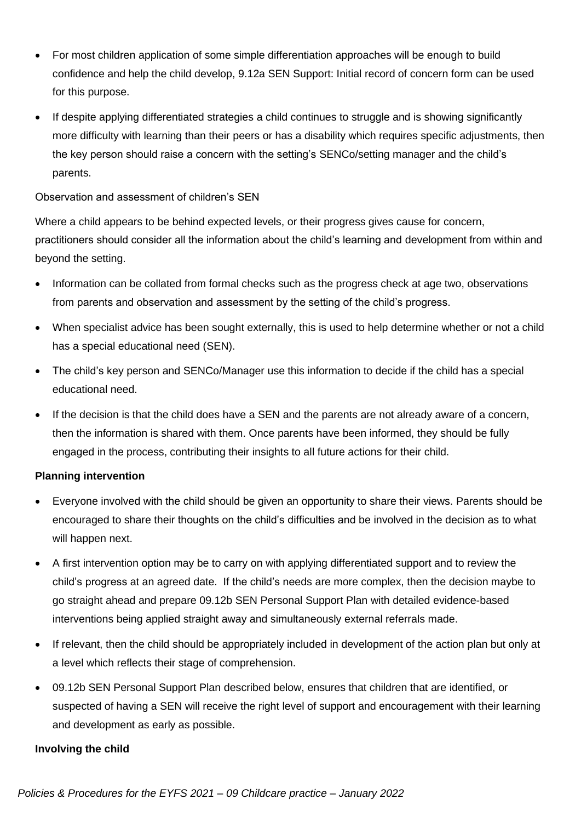- For most children application of some simple differentiation approaches will be enough to build confidence and help the child develop, 9.12a SEN Support: Initial record of concern form can be used for this purpose.
- If despite applying differentiated strategies a child continues to struggle and is showing significantly more difficulty with learning than their peers or has a disability which requires specific adjustments, then the key person should raise a concern with the setting's SENCo/setting manager and the child's parents.

### Observation and assessment of children's SEN

Where a child appears to be behind expected levels, or their progress gives cause for concern, practitioners should consider all the information about the child's learning and development from within and beyond the setting.

- Information can be collated from formal checks such as the progress check at age two, observations from parents and observation and assessment by the setting of the child's progress.
- When specialist advice has been sought externally, this is used to help determine whether or not a child has a special educational need (SEN).
- The child's key person and SENCo/Manager use this information to decide if the child has a special educational need.
- If the decision is that the child does have a SEN and the parents are not already aware of a concern, then the information is shared with them. Once parents have been informed, they should be fully engaged in the process, contributing their insights to all future actions for their child.

## **Planning intervention**

- Everyone involved with the child should be given an opportunity to share their views. Parents should be encouraged to share their thoughts on the child's difficulties and be involved in the decision as to what will happen next.
- A first intervention option may be to carry on with applying differentiated support and to review the child's progress at an agreed date. If the child's needs are more complex, then the decision maybe to go straight ahead and prepare 09.12b SEN Personal Support Plan with detailed evidence-based interventions being applied straight away and simultaneously external referrals made.
- If relevant, then the child should be appropriately included in development of the action plan but only at a level which reflects their stage of comprehension.
- 09.12b SEN Personal Support Plan described below, ensures that children that are identified, or suspected of having a SEN will receive the right level of support and encouragement with their learning and development as early as possible.

#### **Involving the child**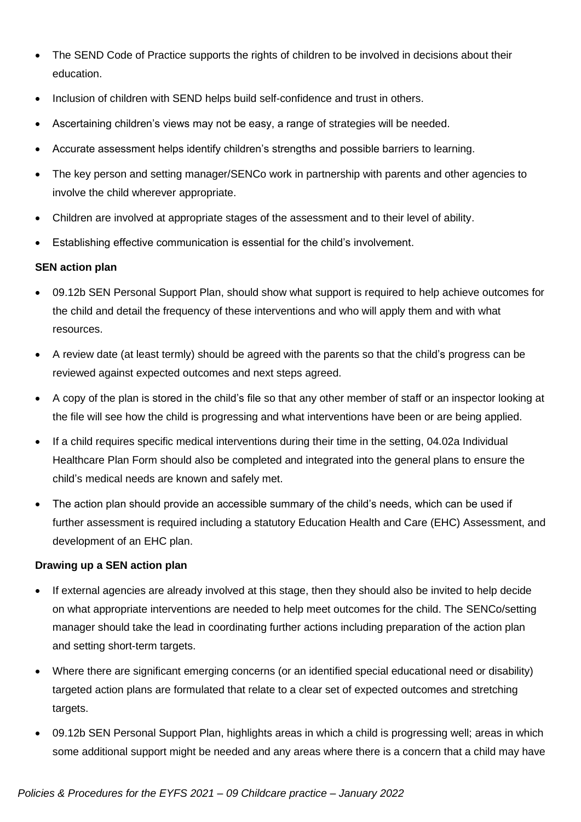- The SEND Code of Practice supports the rights of children to be involved in decisions about their education.
- Inclusion of children with SEND helps build self-confidence and trust in others.
- Ascertaining children's views may not be easy, a range of strategies will be needed.
- Accurate assessment helps identify children's strengths and possible barriers to learning.
- The key person and setting manager/SENCo work in partnership with parents and other agencies to involve the child wherever appropriate.
- Children are involved at appropriate stages of the assessment and to their level of ability.
- Establishing effective communication is essential for the child's involvement.

### **SEN action plan**

- 09.12b SEN Personal Support Plan, should show what support is required to help achieve outcomes for the child and detail the frequency of these interventions and who will apply them and with what resources.
- A review date (at least termly) should be agreed with the parents so that the child's progress can be reviewed against expected outcomes and next steps agreed.
- A copy of the plan is stored in the child's file so that any other member of staff or an inspector looking at the file will see how the child is progressing and what interventions have been or are being applied.
- If a child requires specific medical interventions during their time in the setting, 04.02a Individual Healthcare Plan Form should also be completed and integrated into the general plans to ensure the child's medical needs are known and safely met.
- The action plan should provide an accessible summary of the child's needs, which can be used if further assessment is required including a statutory Education Health and Care (EHC) Assessment, and development of an EHC plan.

#### **Drawing up a SEN action plan**

- If external agencies are already involved at this stage, then they should also be invited to help decide on what appropriate interventions are needed to help meet outcomes for the child. The SENCo/setting manager should take the lead in coordinating further actions including preparation of the action plan and setting short-term targets.
- Where there are significant emerging concerns (or an identified special educational need or disability) targeted action plans are formulated that relate to a clear set of expected outcomes and stretching targets.
- 09.12b SEN Personal Support Plan, highlights areas in which a child is progressing well; areas in which some additional support might be needed and any areas where there is a concern that a child may have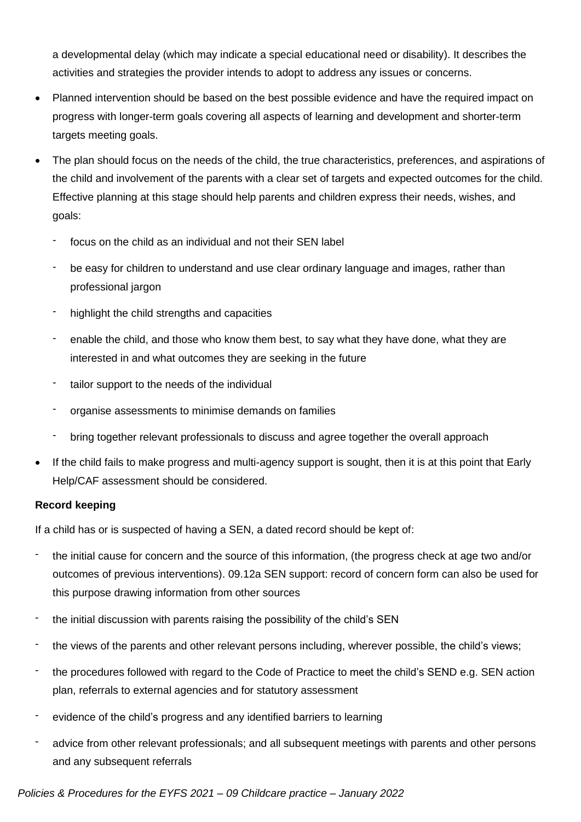a developmental delay (which may indicate a special educational need or disability). It describes the activities and strategies the provider intends to adopt to address any issues or concerns.

- Planned intervention should be based on the best possible evidence and have the required impact on progress with longer-term goals covering all aspects of learning and development and shorter-term targets meeting goals.
- The plan should focus on the needs of the child, the true characteristics, preferences, and aspirations of the child and involvement of the parents with a clear set of targets and expected outcomes for the child. Effective planning at this stage should help parents and children express their needs, wishes, and goals:
	- focus on the child as an individual and not their SEN label
	- be easy for children to understand and use clear ordinary language and images, rather than professional jargon
	- highlight the child strengths and capacities
	- enable the child, and those who know them best, to say what they have done, what they are interested in and what outcomes they are seeking in the future
	- tailor support to the needs of the individual
	- organise assessments to minimise demands on families
	- bring together relevant professionals to discuss and agree together the overall approach
- If the child fails to make progress and multi-agency support is sought, then it is at this point that Early Help/CAF assessment should be considered.

## **Record keeping**

If a child has or is suspected of having a SEN, a dated record should be kept of:

- the initial cause for concern and the source of this information, (the progress check at age two and/or outcomes of previous interventions). 09.12a SEN support: record of concern form can also be used for this purpose drawing information from other sources
- the initial discussion with parents raising the possibility of the child's SEN
- the views of the parents and other relevant persons including, wherever possible, the child's views;
- the procedures followed with regard to the Code of Practice to meet the child's SEND e.g. SEN action plan, referrals to external agencies and for statutory assessment
- evidence of the child's progress and any identified barriers to learning
- advice from other relevant professionals; and all subsequent meetings with parents and other persons and any subsequent referrals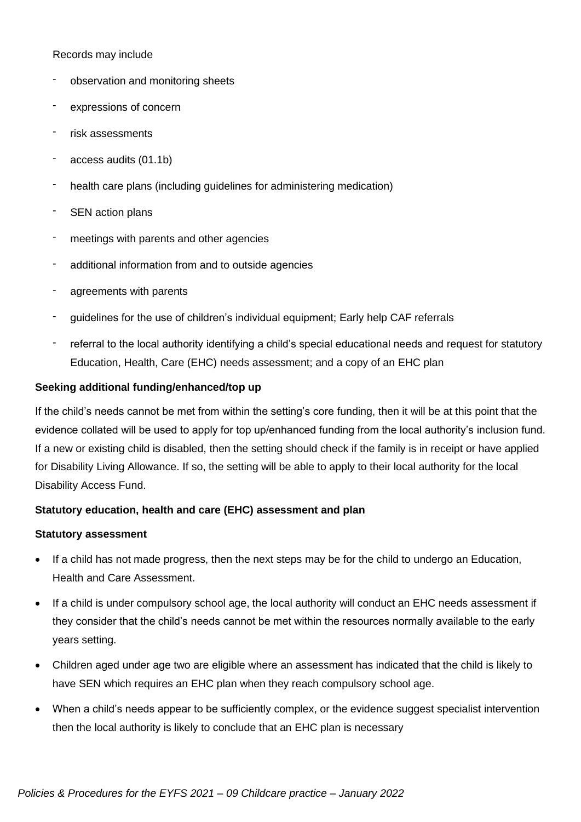### Records may include

- observation and monitoring sheets
- expressions of concern
- risk assessments
- access audits (01.1b)
- health care plans (including guidelines for administering medication)
- SEN action plans
- meetings with parents and other agencies
- additional information from and to outside agencies
- agreements with parents
- guidelines for the use of children's individual equipment; Early help CAF referrals
- referral to the local authority identifying a child's special educational needs and request for statutory Education, Health, Care (EHC) needs assessment; and a copy of an EHC plan

#### **Seeking additional funding/enhanced/top up**

If the child's needs cannot be met from within the setting's core funding, then it will be at this point that the evidence collated will be used to apply for top up/enhanced funding from the local authority's inclusion fund. If a new or existing child is disabled, then the setting should check if the family is in receipt or have applied for Disability Living Allowance. If so, the setting will be able to apply to their local authority for the local Disability Access Fund.

## **Statutory education, health and care (EHC) assessment and plan**

#### **Statutory assessment**

- If a child has not made progress, then the next steps may be for the child to undergo an Education, Health and Care Assessment.
- If a child is under compulsory school age, the local authority will conduct an EHC needs assessment if they consider that the child's needs cannot be met within the resources normally available to the early years setting.
- Children aged under age two are eligible where an assessment has indicated that the child is likely to have SEN which requires an EHC plan when they reach compulsory school age.
- When a child's needs appear to be sufficiently complex, or the evidence suggest specialist intervention then the local authority is likely to conclude that an EHC plan is necessary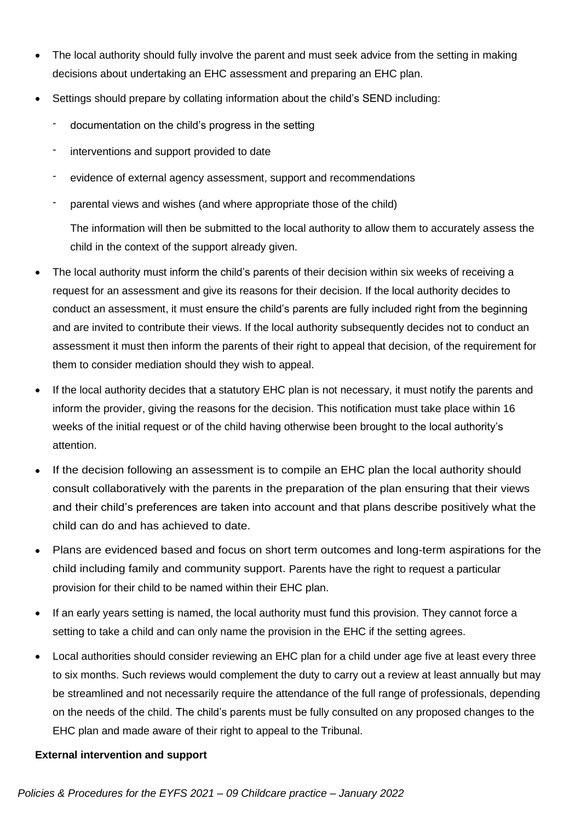- The local authority should fully involve the parent and must seek advice from the setting in making decisions about undertaking an EHC assessment and preparing an EHC plan.
- Settings should prepare by collating information about the child's SEND including:
	- documentation on the child's progress in the setting
	- interventions and support provided to date
	- evidence of external agency assessment, support and recommendations
	- parental views and wishes (and where appropriate those of the child)

The information will then be submitted to the local authority to allow them to accurately assess the child in the context of the support already given.

- The local authority must inform the child's parents of their decision within six weeks of receiving a request for an assessment and give its reasons for their decision. If the local authority decides to conduct an assessment, it must ensure the child's parents are fully included right from the beginning and are invited to contribute their views. If the local authority subsequently decides not to conduct an assessment it must then inform the parents of their right to appeal that decision, of the requirement for them to consider mediation should they wish to appeal.
- If the local authority decides that a statutory EHC plan is not necessary, it must notify the parents and inform the provider, giving the reasons for the decision. This notification must take place within 16 weeks of the initial request or of the child having otherwise been brought to the local authority's attention.
- If the decision following an assessment is to compile an EHC plan the local authority should consult collaboratively with the parents in the preparation of the plan ensuring that their views and their child's preferences are taken into account and that plans describe positively what the child can do and has achieved to date.
- Plans are evidenced based and focus on short term outcomes and long-term aspirations for the child including family and community support. Parents have the right to request a particular provision for their child to be named within their EHC plan.
- If an early years setting is named, the local authority must fund this provision. They cannot force a setting to take a child and can only name the provision in the EHC if the setting agrees.
- Local authorities should consider reviewing an EHC plan for a child under age five at least every three to six months. Such reviews would complement the duty to carry out a review at least annually but may be streamlined and not necessarily require the attendance of the full range of professionals, depending on the needs of the child. The child's parents must be fully consulted on any proposed changes to the EHC plan and made aware of their right to appeal to the Tribunal.

## **External intervention and support**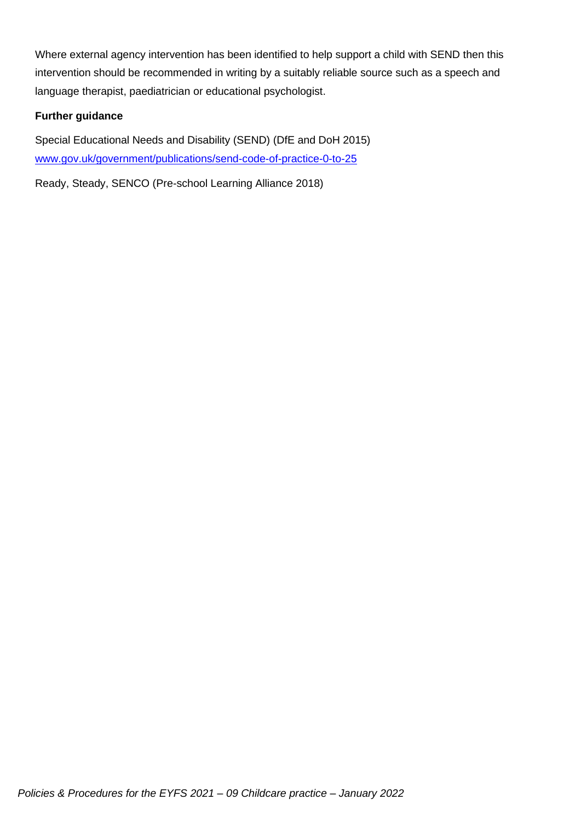Where external agency intervention has been identified to help support a child with SEND then this intervention should be recommended in writing by a suitably reliable source such as a speech and language therapist, paediatrician or educational psychologist.

## **Further guidance**

Special Educational Needs and Disability (SEND) (DfE and DoH 2015) [www.gov.uk/government/publications/send-code-of-practice-0-to-25](http://www.gov.uk/government/publications/send-code-of-practice-0-to-25)

Ready, Steady, SENCO (Pre-school Learning Alliance 2018)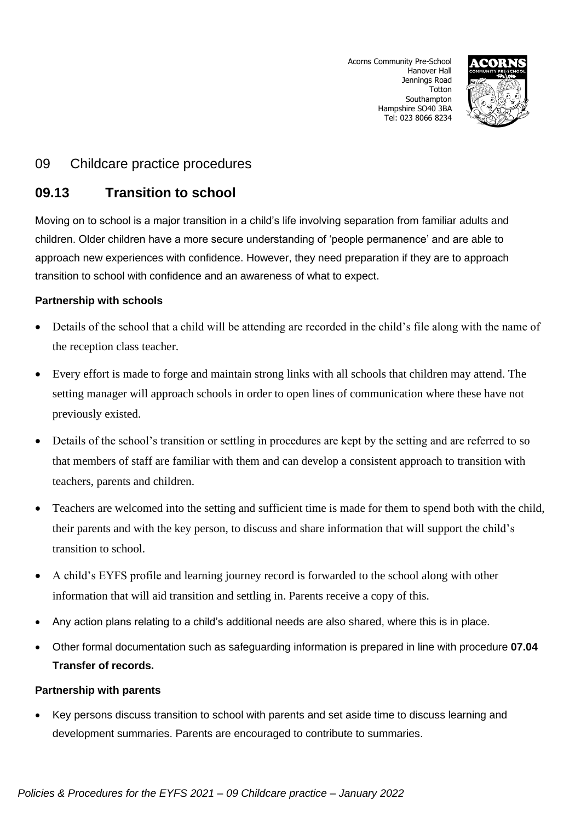Acorns Community Pre-School Hanover Hall Jennings Road Totton Southampton Hampshire SO40 3BA Tel: 023 8066 8234



# 09 Childcare practice procedures

# **09.13 Transition to school**

Moving on to school is a major transition in a child's life involving separation from familiar adults and children. Older children have a more secure understanding of 'people permanence' and are able to approach new experiences with confidence. However, they need preparation if they are to approach transition to school with confidence and an awareness of what to expect.

# **Partnership with schools**

- Details of the school that a child will be attending are recorded in the child's file along with the name of the reception class teacher.
- Every effort is made to forge and maintain strong links with all schools that children may attend. The setting manager will approach schools in order to open lines of communication where these have not previously existed.
- Details of the school's transition or settling in procedures are kept by the setting and are referred to so that members of staff are familiar with them and can develop a consistent approach to transition with teachers, parents and children.
- Teachers are welcomed into the setting and sufficient time is made for them to spend both with the child, their parents and with the key person, to discuss and share information that will support the child's transition to school.
- A child's EYFS profile and learning journey record is forwarded to the school along with other information that will aid transition and settling in. Parents receive a copy of this.
- Any action plans relating to a child's additional needs are also shared, where this is in place.
- Other formal documentation such as safeguarding information is prepared in line with procedure **07.04 Transfer of records.**

## **Partnership with parents**

• Key persons discuss transition to school with parents and set aside time to discuss learning and development summaries. Parents are encouraged to contribute to summaries.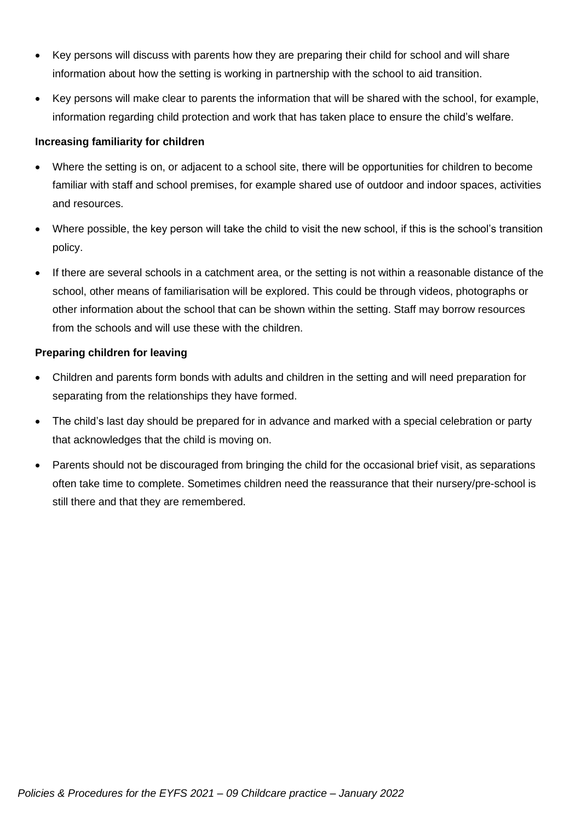- Key persons will discuss with parents how they are preparing their child for school and will share information about how the setting is working in partnership with the school to aid transition.
- Key persons will make clear to parents the information that will be shared with the school, for example, information regarding child protection and work that has taken place to ensure the child's welfare.

### **Increasing familiarity for children**

- Where the setting is on, or adjacent to a school site, there will be opportunities for children to become familiar with staff and school premises, for example shared use of outdoor and indoor spaces, activities and resources.
- Where possible, the key person will take the child to visit the new school, if this is the school's transition policy.
- If there are several schools in a catchment area, or the setting is not within a reasonable distance of the school, other means of familiarisation will be explored. This could be through videos, photographs or other information about the school that can be shown within the setting. Staff may borrow resources from the schools and will use these with the children.

### **Preparing children for leaving**

- Children and parents form bonds with adults and children in the setting and will need preparation for separating from the relationships they have formed.
- The child's last day should be prepared for in advance and marked with a special celebration or party that acknowledges that the child is moving on.
- Parents should not be discouraged from bringing the child for the occasional brief visit, as separations often take time to complete. Sometimes children need the reassurance that their nursery/pre-school is still there and that they are remembered.